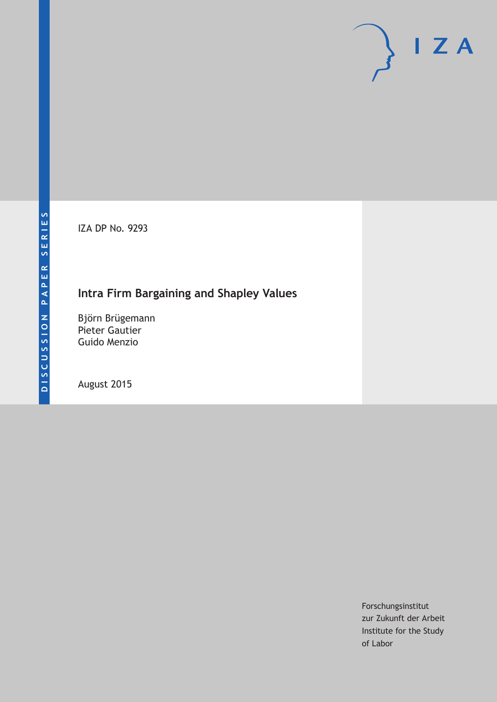IZA DP No. 9293

## **Intra Firm Bargaining and Shapley Values**

Björn Brügemann Pieter Gautier Guido Menzio

August 2015

Forschungsinstitut zur Zukunft der Arbeit Institute for the Study of Labor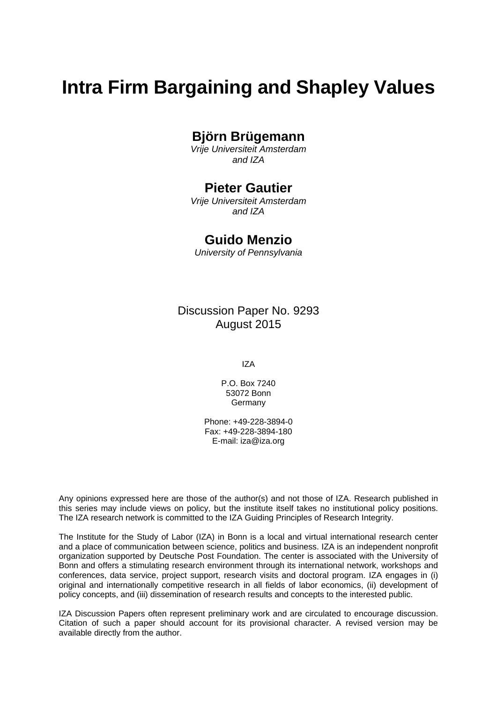# **Intra Firm Bargaining and Shapley Values**

## **Björn Brügemann**

*Vrije Universiteit Amsterdam and IZA* 

### **Pieter Gautier**

*Vrije Universiteit Amsterdam and IZA* 

### **Guido Menzio**

*University of Pennsylvania*

Discussion Paper No. 9293 August 2015

IZA

P.O. Box 7240 53072 Bonn Germany

Phone: +49-228-3894-0 Fax: +49-228-3894-180 E-mail: iza@iza.org

Any opinions expressed here are those of the author(s) and not those of IZA. Research published in this series may include views on policy, but the institute itself takes no institutional policy positions. The IZA research network is committed to the IZA Guiding Principles of Research Integrity.

The Institute for the Study of Labor (IZA) in Bonn is a local and virtual international research center and a place of communication between science, politics and business. IZA is an independent nonprofit organization supported by Deutsche Post Foundation. The center is associated with the University of Bonn and offers a stimulating research environment through its international network, workshops and conferences, data service, project support, research visits and doctoral program. IZA engages in (i) original and internationally competitive research in all fields of labor economics, (ii) development of policy concepts, and (iii) dissemination of research results and concepts to the interested public.

IZA Discussion Papers often represent preliminary work and are circulated to encourage discussion. Citation of such a paper should account for its provisional character. A revised version may be available directly from the author.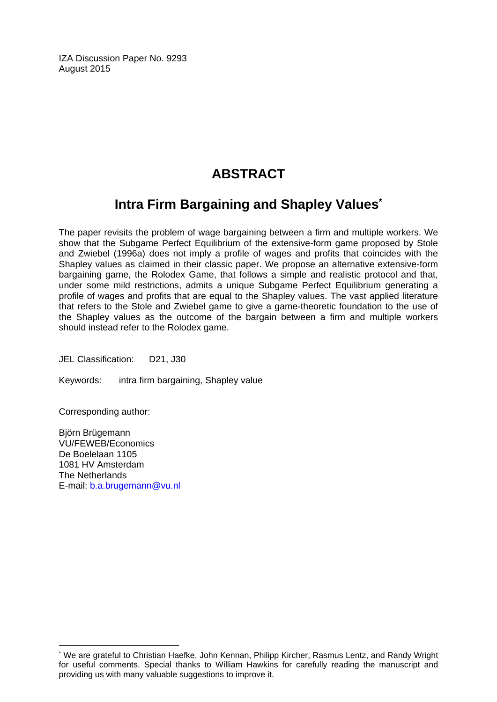IZA Discussion Paper No. 9293 August 2015

## **ABSTRACT**

## **Intra Firm Bargaining and Shapley Values\***

The paper revisits the problem of wage bargaining between a firm and multiple workers. We show that the Subgame Perfect Equilibrium of the extensive-form game proposed by Stole and Zwiebel (1996a) does not imply a profile of wages and profits that coincides with the Shapley values as claimed in their classic paper. We propose an alternative extensive-form bargaining game, the Rolodex Game, that follows a simple and realistic protocol and that, under some mild restrictions, admits a unique Subgame Perfect Equilibrium generating a profile of wages and profits that are equal to the Shapley values. The vast applied literature that refers to the Stole and Zwiebel game to give a game-theoretic foundation to the use of the Shapley values as the outcome of the bargain between a firm and multiple workers should instead refer to the Rolodex game.

JEL Classification: D21, J30

Keywords: intra firm bargaining, Shapley value

Corresponding author:

 $\overline{\phantom{a}}$ 

Björn Brügemann VU/FEWEB/Economics De Boelelaan 1105 1081 HV Amsterdam The Netherlands E-mail: b.a.brugemann@vu.nl

<sup>\*</sup> We are grateful to Christian Haefke, John Kennan, Philipp Kircher, Rasmus Lentz, and Randy Wright for useful comments. Special thanks to William Hawkins for carefully reading the manuscript and providing us with many valuable suggestions to improve it.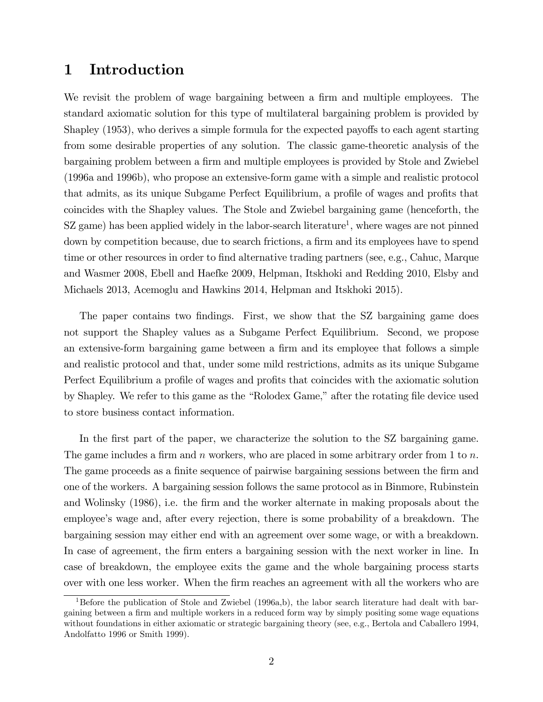## 1 Introduction

We revisit the problem of wage bargaining between a firm and multiple employees. The standard axiomatic solution for this type of multilateral bargaining problem is provided by Shapley (1953), who derives a simple formula for the expected payoffs to each agent starting from some desirable properties of any solution. The classic game-theoretic analysis of the bargaining problem between a firm and multiple employees is provided by Stole and Zwiebel (1996a and 1996b), who propose an extensive-form game with a simple and realistic protocol that admits, as its unique Subgame Perfect Equilibrium, a profile of wages and profits that coincides with the Shapley values. The Stole and Zwiebel bargaining game (henceforth, the  $SZ$  game) has been applied widely in the labor-search literature<sup>1</sup>, where wages are not pinned down by competition because, due to search frictions, a firm and its employees have to spend time or other resources in order to find alternative trading partners (see, e.g., Cahuc, Marque and Wasmer 2008, Ebell and Haefke 2009, Helpman, Itskhoki and Redding 2010, Elsby and Michaels 2013, Acemoglu and Hawkins 2014, Helpman and Itskhoki 2015).

The paper contains two findings. First, we show that the SZ bargaining game does not support the Shapley values as a Subgame Perfect Equilibrium. Second, we propose an extensive-form bargaining game between a firm and its employee that follows a simple and realistic protocol and that, under some mild restrictions, admits as its unique Subgame Perfect Equilibrium a profile of wages and profits that coincides with the axiomatic solution by Shapley. We refer to this game as the "Rolodex Game," after the rotating file device used to store business contact information.

In the first part of the paper, we characterize the solution to the SZ bargaining game. The game includes a firm and n workers, who are placed in some arbitrary order from 1 to  $n$ . The game proceeds as a finite sequence of pairwise bargaining sessions between the firm and one of the workers. A bargaining session follows the same protocol as in Binmore, Rubinstein and Wolinsky (1986), i.e. the firm and the worker alternate in making proposals about the employee's wage and, after every rejection, there is some probability of a breakdown. The bargaining session may either end with an agreement over some wage, or with a breakdown. In case of agreement, the firm enters a bargaining session with the next worker in line. In case of breakdown, the employee exits the game and the whole bargaining process starts over with one less worker. When the firm reaches an agreement with all the workers who are

<sup>&</sup>lt;sup>1</sup>Before the publication of Stole and Zwiebel (1996a,b), the labor search literature had dealt with bargaining between a firm and multiple workers in a reduced form way by simply positing some wage equations without foundations in either axiomatic or strategic bargaining theory (see, e.g., Bertola and Caballero 1994, Andolfatto 1996 or Smith 1999).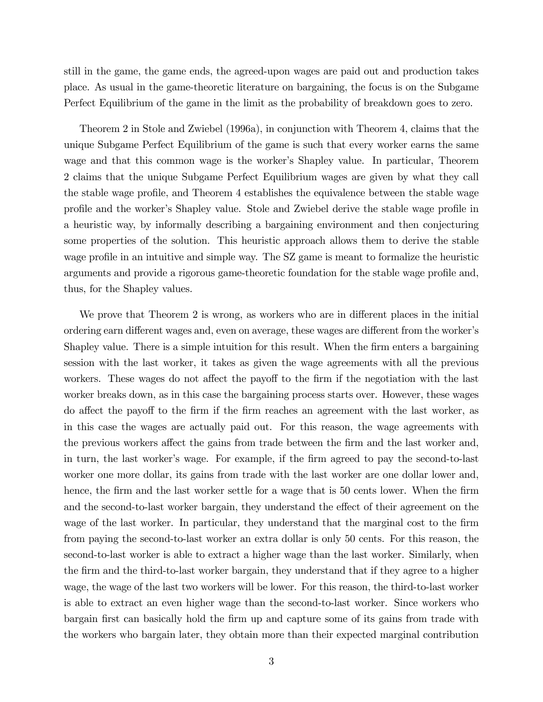still in the game, the game ends, the agreed-upon wages are paid out and production takes place. As usual in the game-theoretic literature on bargaining, the focus is on the Subgame Perfect Equilibrium of the game in the limit as the probability of breakdown goes to zero.

Theorem 2 in Stole and Zwiebel (1996a), in conjunction with Theorem 4, claims that the unique Subgame Perfect Equilibrium of the game is such that every worker earns the same wage and that this common wage is the worker's Shapley value. In particular, Theorem 2 claims that the unique Subgame Perfect Equilibrium wages are given by what they call the stable wage profile, and Theorem 4 establishes the equivalence between the stable wage profile and the worker's Shapley value. Stole and Zwiebel derive the stable wage profile in a heuristic way, by informally describing a bargaining environment and then conjecturing some properties of the solution. This heuristic approach allows them to derive the stable wage profile in an intuitive and simple way. The SZ game is meant to formalize the heuristic arguments and provide a rigorous game-theoretic foundation for the stable wage profile and, thus, for the Shapley values.

We prove that Theorem 2 is wrong, as workers who are in different places in the initial ordering earn different wages and, even on average, these wages are different from the worker's Shapley value. There is a simple intuition for this result. When the firm enters a bargaining session with the last worker, it takes as given the wage agreements with all the previous workers. These wages do not affect the payoff to the firm if the negotiation with the last worker breaks down, as in this case the bargaining process starts over. However, these wages do affect the payoff to the firm if the firm reaches an agreement with the last worker, as in this case the wages are actually paid out. For this reason, the wage agreements with the previous workers affect the gains from trade between the firm and the last worker and, in turn, the last worker's wage. For example, if the firm agreed to pay the second-to-last worker one more dollar, its gains from trade with the last worker are one dollar lower and, hence, the firm and the last worker settle for a wage that is 50 cents lower. When the firm and the second-to-last worker bargain, they understand the effect of their agreement on the wage of the last worker. In particular, they understand that the marginal cost to the firm from paying the second-to-last worker an extra dollar is only 50 cents. For this reason, the second-to-last worker is able to extract a higher wage than the last worker. Similarly, when the Örm and the third-to-last worker bargain, they understand that if they agree to a higher wage, the wage of the last two workers will be lower. For this reason, the third-to-last worker is able to extract an even higher wage than the second-to-last worker. Since workers who bargain first can basically hold the firm up and capture some of its gains from trade with the workers who bargain later, they obtain more than their expected marginal contribution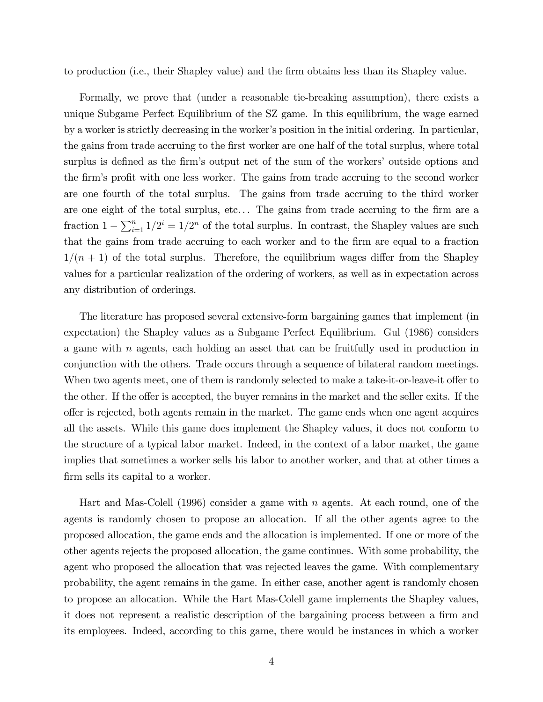to production (i.e., their Shapley value) and the Örm obtains less than its Shapley value.

Formally, we prove that (under a reasonable tie-breaking assumption), there exists a unique Subgame Perfect Equilibrium of the SZ game. In this equilibrium, the wage earned by a worker is strictly decreasing in the worker's position in the initial ordering. In particular, the gains from trade accruing to the first worker are one half of the total surplus, where total surplus is defined as the firm's output net of the sum of the workers' outside options and the firm's profit with one less worker. The gains from trade accruing to the second worker are one fourth of the total surplus. The gains from trade accruing to the third worker are one eight of the total surplus, etc... The gains from trade accruing to the firm are a fraction  $1 - \sum_{i=1}^{n} 1/2^i = 1/2^n$  of the total surplus. In contrast, the Shapley values are such that the gains from trade accruing to each worker and to the Örm are equal to a fraction  $1/(n + 1)$  of the total surplus. Therefore, the equilibrium wages differ from the Shapley values for a particular realization of the ordering of workers, as well as in expectation across any distribution of orderings.

The literature has proposed several extensive-form bargaining games that implement (in expectation) the Shapley values as a Subgame Perfect Equilibrium. Gul (1986) considers a game with n agents, each holding an asset that can be fruitfully used in production in conjunction with the others. Trade occurs through a sequence of bilateral random meetings. When two agents meet, one of them is randomly selected to make a take-it-or-leave-it offer to the other. If the offer is accepted, the buyer remains in the market and the seller exits. If the o§er is rejected, both agents remain in the market. The game ends when one agent acquires all the assets. While this game does implement the Shapley values, it does not conform to the structure of a typical labor market. Indeed, in the context of a labor market, the game implies that sometimes a worker sells his labor to another worker, and that at other times a firm sells its capital to a worker.

Hart and Mas-Colell (1996) consider a game with  $n$  agents. At each round, one of the agents is randomly chosen to propose an allocation. If all the other agents agree to the proposed allocation, the game ends and the allocation is implemented. If one or more of the other agents rejects the proposed allocation, the game continues. With some probability, the agent who proposed the allocation that was rejected leaves the game. With complementary probability, the agent remains in the game. In either case, another agent is randomly chosen to propose an allocation. While the Hart Mas-Colell game implements the Shapley values, it does not represent a realistic description of the bargaining process between a firm and its employees. Indeed, according to this game, there would be instances in which a worker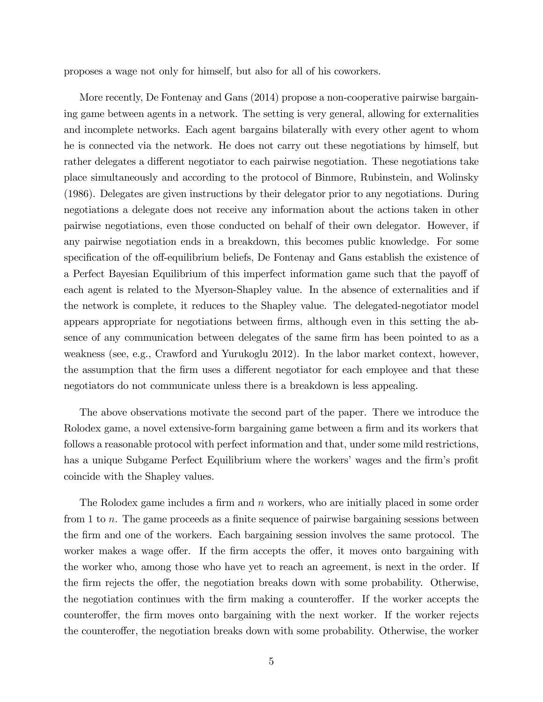proposes a wage not only for himself, but also for all of his coworkers.

More recently, De Fontenay and Gans (2014) propose a non-cooperative pairwise bargaining game between agents in a network. The setting is very general, allowing for externalities and incomplete networks. Each agent bargains bilaterally with every other agent to whom he is connected via the network. He does not carry out these negotiations by himself, but rather delegates a different negotiator to each pairwise negotiation. These negotiations take place simultaneously and according to the protocol of Binmore, Rubinstein, and Wolinsky (1986). Delegates are given instructions by their delegator prior to any negotiations. During negotiations a delegate does not receive any information about the actions taken in other pairwise negotiations, even those conducted on behalf of their own delegator. However, if any pairwise negotiation ends in a breakdown, this becomes public knowledge. For some specification of the off-equilibrium beliefs, De Fontenay and Gans establish the existence of a Perfect Bayesian Equilibrium of this imperfect information game such that the payoff of each agent is related to the Myerson-Shapley value. In the absence of externalities and if the network is complete, it reduces to the Shapley value. The delegated-negotiator model appears appropriate for negotiations between firms, although even in this setting the absence of any communication between delegates of the same firm has been pointed to as a weakness (see, e.g., Crawford and Yurukoglu 2012). In the labor market context, however, the assumption that the firm uses a different negotiator for each employee and that these negotiators do not communicate unless there is a breakdown is less appealing.

The above observations motivate the second part of the paper. There we introduce the Rolodex game, a novel extensive-form bargaining game between a firm and its workers that follows a reasonable protocol with perfect information and that, under some mild restrictions, has a unique Subgame Perfect Equilibrium where the workers' wages and the firm's profit coincide with the Shapley values.

The Rolodex game includes a firm and  $n$  workers, who are initially placed in some order from 1 to n. The game proceeds as a finite sequence of pairwise bargaining sessions between the Örm and one of the workers. Each bargaining session involves the same protocol. The worker makes a wage offer. If the firm accepts the offer, it moves onto bargaining with the worker who, among those who have yet to reach an agreement, is next in the order. If the firm rejects the offer, the negotiation breaks down with some probability. Otherwise, the negotiation continues with the firm making a counteroffer. If the worker accepts the counteroffer, the firm moves onto bargaining with the next worker. If the worker rejects the counteroffer, the negotiation breaks down with some probability. Otherwise, the worker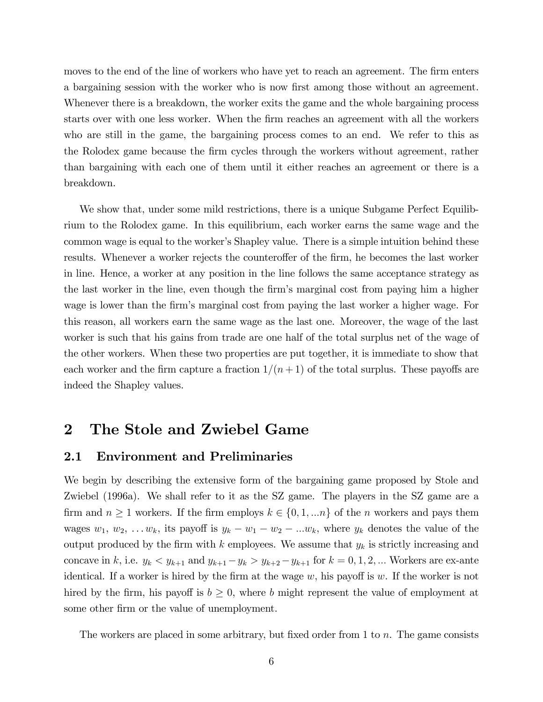moves to the end of the line of workers who have yet to reach an agreement. The firm enters a bargaining session with the worker who is now first among those without an agreement. Whenever there is a breakdown, the worker exits the game and the whole bargaining process starts over with one less worker. When the Örm reaches an agreement with all the workers who are still in the game, the bargaining process comes to an end. We refer to this as the Rolodex game because the Örm cycles through the workers without agreement, rather than bargaining with each one of them until it either reaches an agreement or there is a breakdown.

We show that, under some mild restrictions, there is a unique Subgame Perfect Equilibrium to the Rolodex game. In this equilibrium, each worker earns the same wage and the common wage is equal to the worker's Shapley value. There is a simple intuition behind these results. Whenever a worker rejects the counteroffer of the firm, he becomes the last worker in line. Hence, a worker at any position in the line follows the same acceptance strategy as the last worker in the line, even though the firm's marginal cost from paying him a higher wage is lower than the firm's marginal cost from paying the last worker a higher wage. For this reason, all workers earn the same wage as the last one. Moreover, the wage of the last worker is such that his gains from trade are one half of the total surplus net of the wage of the other workers. When these two properties are put together, it is immediate to show that each worker and the firm capture a fraction  $1/(n + 1)$  of the total surplus. These payoffs are indeed the Shapley values.

## 2 The Stole and Zwiebel Game

#### 2.1 Environment and Preliminaries

We begin by describing the extensive form of the bargaining game proposed by Stole and Zwiebel (1996a). We shall refer to it as the SZ game. The players in the SZ game are a firm and  $n \geq 1$  workers. If the firm employs  $k \in \{0, 1, \ldots n\}$  of the n workers and pays them wages  $w_1, w_2, \ldots w_k$ , its payoff is  $y_k - w_1 - w_2 - \ldots w_k$ , where  $y_k$  denotes the value of the output produced by the firm with k employees. We assume that  $y_k$  is strictly increasing and concave in k, i.e.  $y_k < y_{k+1}$  and  $y_{k+1} - y_k > y_{k+2} - y_{k+1}$  for  $k = 0, 1, 2, ...$  Workers are ex-ante identical. If a worker is hired by the firm at the wage w, his payoff is w. If the worker is not hired by the firm, his payoff is  $b \geq 0$ , where b might represent the value of employment at some other firm or the value of unemployment.

The workers are placed in some arbitrary, but fixed order from  $1$  to  $n$ . The game consists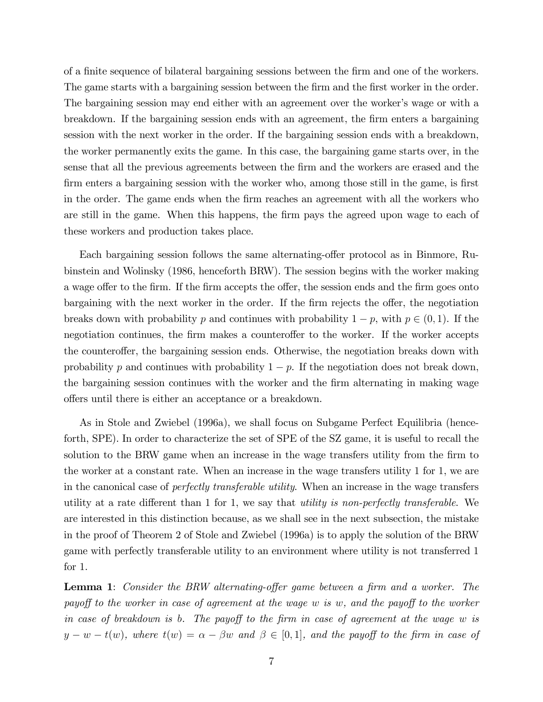of a finite sequence of bilateral bargaining sessions between the firm and one of the workers. The game starts with a bargaining session between the firm and the first worker in the order. The bargaining session may end either with an agreement over the worker's wage or with a breakdown. If the bargaining session ends with an agreement, the Örm enters a bargaining session with the next worker in the order. If the bargaining session ends with a breakdown, the worker permanently exits the game. In this case, the bargaining game starts over, in the sense that all the previous agreements between the Örm and the workers are erased and the firm enters a bargaining session with the worker who, among those still in the game, is first in the order. The game ends when the Örm reaches an agreement with all the workers who are still in the game. When this happens, the firm pays the agreed upon wage to each of these workers and production takes place.

Each bargaining session follows the same alternating-offer protocol as in Binmore, Rubinstein and Wolinsky (1986, henceforth BRW). The session begins with the worker making a wage offer to the firm. If the firm accepts the offer, the session ends and the firm goes onto bargaining with the next worker in the order. If the firm rejects the offer, the negotiation breaks down with probability p and continues with probability  $1 - p$ , with  $p \in (0, 1)$ . If the negotiation continues, the firm makes a counteroffer to the worker. If the worker accepts the counteroffer, the bargaining session ends. Otherwise, the negotiation breaks down with probability p and continues with probability  $1 - p$ . If the negotiation does not break down, the bargaining session continues with the worker and the firm alternating in making wage offers until there is either an acceptance or a breakdown.

As in Stole and Zwiebel (1996a), we shall focus on Subgame Perfect Equilibria (henceforth, SPE). In order to characterize the set of SPE of the SZ game, it is useful to recall the solution to the BRW game when an increase in the wage transfers utility from the firm to the worker at a constant rate. When an increase in the wage transfers utility 1 for 1, we are in the canonical case of perfectly transferable utility. When an increase in the wage transfers utility at a rate different than 1 for 1, we say that *utility is non-perfectly transferable*. We are interested in this distinction because, as we shall see in the next subsection, the mistake in the proof of Theorem 2 of Stole and Zwiebel (1996a) is to apply the solution of the BRW game with perfectly transferable utility to an environment where utility is not transferred 1 for 1.

**Lemma 1:** Consider the BRW alternating-offer game between a firm and a worker. The payoff to the worker in case of agreement at the wage w is w, and the payoff to the worker in case of breakdown is b. The payoff to the firm in case of agreement at the wage  $w$  is  $y - w - t(w)$ , where  $t(w) = \alpha - \beta w$  and  $\beta \in [0,1]$ , and the payoff to the firm in case of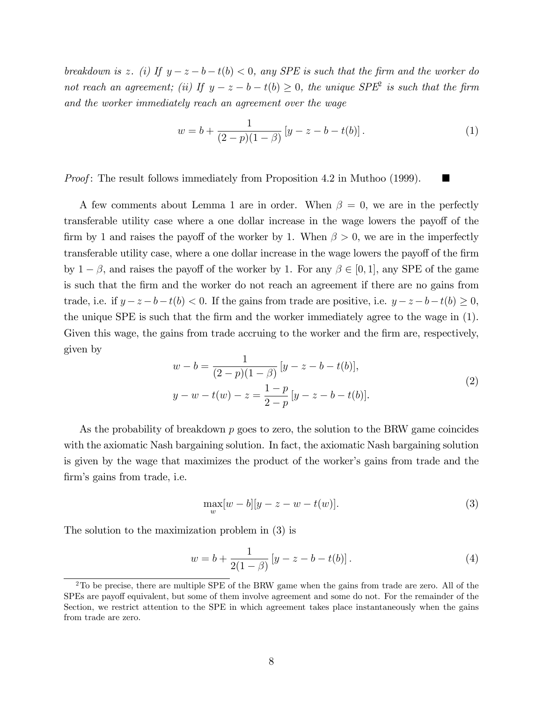breakdown is z. (i) If  $y - z - b - t(b) < 0$ , any SPE is such that the firm and the worker do not reach an agreement; (ii) If  $y - z - b - t(b) \ge 0$ , the unique  $SPE<sup>2</sup>$  is such that the firm and the worker immediately reach an agreement over the wage

$$
w = b + \frac{1}{(2 - p)(1 - \beta)} \left[ y - z - b - t(b) \right]. \tag{1}
$$

*Proof*: The result follows immediately from Proposition 4.2 in Muthoo (1999).  $\blacksquare$ 

A few comments about Lemma 1 are in order. When  $\beta = 0$ , we are in the perfectly transferable utility case where a one dollar increase in the wage lowers the payoff of the firm by 1 and raises the payoff of the worker by 1. When  $\beta > 0$ , we are in the imperfectly transferable utility case, where a one dollar increase in the wage lowers the payoff of the firm by  $1-\beta$ , and raises the payoff of the worker by 1. For any  $\beta \in [0,1]$ , any SPE of the game is such that the Örm and the worker do not reach an agreement if there are no gains from trade, i.e. if  $y - z - b - t(b) < 0$ . If the gains from trade are positive, i.e.  $y - z - b - t(b) \ge 0$ , the unique SPE is such that the firm and the worker immediately agree to the wage in (1). Given this wage, the gains from trade accruing to the worker and the firm are, respectively, given by

$$
w - b = \frac{1}{(2 - p)(1 - \beta)} [y - z - b - t(b)],
$$
  
\n
$$
y - w - t(w) - z = \frac{1 - p}{2 - p} [y - z - b - t(b)].
$$
\n(2)

As the probability of breakdown  $p$  goes to zero, the solution to the BRW game coincides with the axiomatic Nash bargaining solution. In fact, the axiomatic Nash bargaining solution is given by the wage that maximizes the product of the worker's gains from trade and the firm's gains from trade, i.e.

$$
\max_{w} [w - b][y - z - w - t(w)].
$$
\n(3)

The solution to the maximization problem in (3) is

$$
w = b + \frac{1}{2(1 - \beta)} \left[ y - z - b - t(b) \right]. \tag{4}
$$

 $2^2$ To be precise, there are multiple SPE of the BRW game when the gains from trade are zero. All of the SPEs are payoff equivalent, but some of them involve agreement and some do not. For the remainder of the Section, we restrict attention to the SPE in which agreement takes place instantaneously when the gains from trade are zero.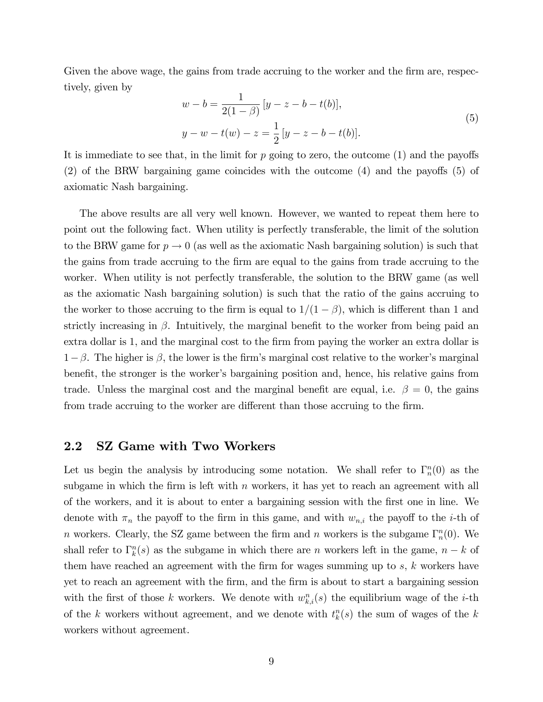Given the above wage, the gains from trade accruing to the worker and the firm are, respectively, given by

$$
w - b = \frac{1}{2(1 - \beta)} [y - z - b - t(b)],
$$
  
\n
$$
y - w - t(w) - z = \frac{1}{2} [y - z - b - t(b)].
$$
\n(5)

It is immediate to see that, in the limit for  $p$  going to zero, the outcome  $(1)$  and the payoffs  $(2)$  of the BRW bargaining game coincides with the outcome  $(4)$  and the payoffs  $(5)$  of axiomatic Nash bargaining.

The above results are all very well known. However, we wanted to repeat them here to point out the following fact. When utility is perfectly transferable, the limit of the solution to the BRW game for  $p \to 0$  (as well as the axiomatic Nash bargaining solution) is such that the gains from trade accruing to the Örm are equal to the gains from trade accruing to the worker. When utility is not perfectly transferable, the solution to the BRW game (as well as the axiomatic Nash bargaining solution) is such that the ratio of the gains accruing to the worker to those accruing to the firm is equal to  $1/(1 - \beta)$ , which is different than 1 and strictly increasing in  $\beta$ . Intuitively, the marginal benefit to the worker from being paid an extra dollar is 1, and the marginal cost to the firm from paying the worker an extra dollar is  $1-\beta$ . The higher is  $\beta$ , the lower is the firm's marginal cost relative to the worker's marginal benefit, the stronger is the worker's bargaining position and, hence, his relative gains from trade. Unless the marginal cost and the marginal benefit are equal, i.e.  $\beta = 0$ , the gains from trade accruing to the worker are different than those accruing to the firm.

#### 2.2 SZ Game with Two Workers

Let us begin the analysis by introducing some notation. We shall refer to  $\Gamma_n^n(0)$  as the subgame in which the firm is left with  $n$  workers, it has yet to reach an agreement with all of the workers, and it is about to enter a bargaining session with the Örst one in line. We denote with  $\pi_n$  the payoff to the firm in this game, and with  $w_{n,i}$  the payoff to the *i*-th of n workers. Clearly, the SZ game between the firm and n workers is the subgame  $\Gamma_n^n(0)$ . We shall refer to  $\Gamma_k^n(s)$  as the subgame in which there are n workers left in the game,  $n - k$  of them have reached an agreement with the firm for wages summing up to  $s, k$  workers have yet to reach an agreement with the Örm, and the Örm is about to start a bargaining session with the first of those k workers. We denote with  $w_{k,i}^n(s)$  the equilibrium wage of the *i*-th of the k workers without agreement, and we denote with  $t_k^n(s)$  the sum of wages of the k workers without agreement.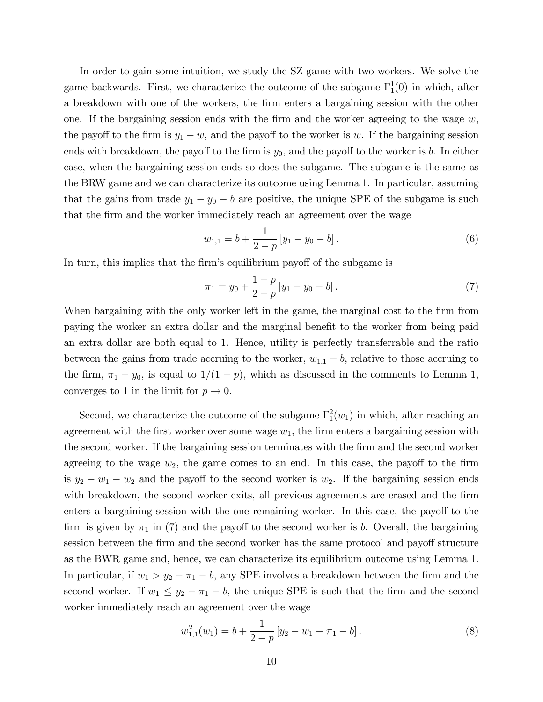In order to gain some intuition, we study the SZ game with two workers. We solve the game backwards. First, we characterize the outcome of the subgame  $\Gamma_1^1(0)$  in which, after a breakdown with one of the workers, the firm enters a bargaining session with the other one. If the bargaining session ends with the firm and the worker agreeing to the wage  $w$ , the payoff to the firm is  $y_1 - w$ , and the payoff to the worker is w. If the bargaining session ends with breakdown, the payoff to the firm is  $y_0$ , and the payoff to the worker is b. In either case, when the bargaining session ends so does the subgame. The subgame is the same as the BRW game and we can characterize its outcome using Lemma 1. In particular, assuming that the gains from trade  $y_1 - y_0 - b$  are positive, the unique SPE of the subgame is such that the Örm and the worker immediately reach an agreement over the wage

$$
w_{1,1} = b + \frac{1}{2-p} \left[ y_1 - y_0 - b \right]. \tag{6}
$$

In turn, this implies that the firm's equilibrium payoff of the subgame is

$$
\pi_1 = y_0 + \frac{1-p}{2-p} [y_1 - y_0 - b]. \tag{7}
$$

When bargaining with the only worker left in the game, the marginal cost to the firm from paying the worker an extra dollar and the marginal benefit to the worker from being paid an extra dollar are both equal to 1. Hence, utility is perfectly transferrable and the ratio between the gains from trade accruing to the worker,  $w_{1,1} - b$ , relative to those accruing to the firm,  $\pi_1 - y_0$ , is equal to  $1/(1 - p)$ , which as discussed in the comments to Lemma 1, converges to 1 in the limit for  $p \to 0$ .

Second, we characterize the outcome of the subgame  $\Gamma_1^2(w_1)$  in which, after reaching an agreement with the first worker over some wage  $w_1$ , the firm enters a bargaining session with the second worker. If the bargaining session terminates with the firm and the second worker agreeing to the wage  $w_2$ , the game comes to an end. In this case, the payoff to the firm is  $y_2 - w_1 - w_2$  and the payoff to the second worker is  $w_2$ . If the bargaining session ends with breakdown, the second worker exits, all previous agreements are erased and the firm enters a bargaining session with the one remaining worker. In this case, the payoff to the firm is given by  $\pi_1$  in (7) and the payoff to the second worker is b. Overall, the bargaining session between the firm and the second worker has the same protocol and payoff structure as the BWR game and, hence, we can characterize its equilibrium outcome using Lemma 1. In particular, if  $w_1 > y_2 - \pi_1 - b$ , any SPE involves a breakdown between the firm and the second worker. If  $w_1 \leq y_2 - \pi_1 - b$ , the unique SPE is such that the firm and the second worker immediately reach an agreement over the wage

$$
w_{1,1}^{2}(w_{1}) = b + \frac{1}{2-p} \left[ y_{2} - w_{1} - \pi_{1} - b \right]. \tag{8}
$$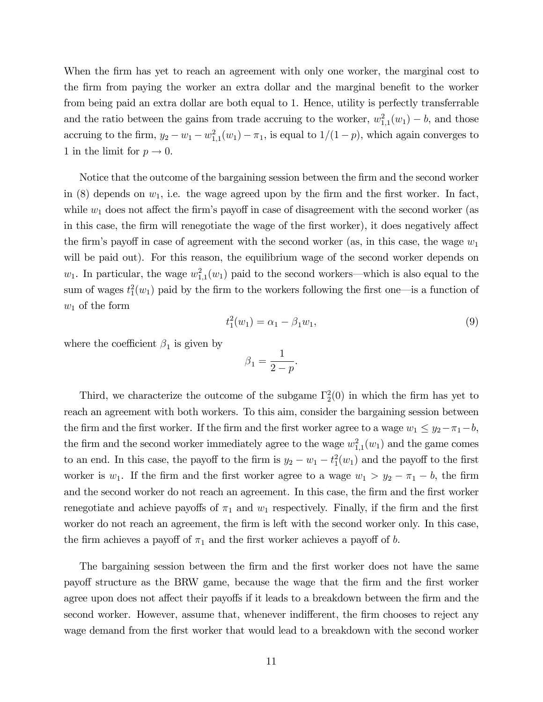When the firm has yet to reach an agreement with only one worker, the marginal cost to the firm from paying the worker an extra dollar and the marginal benefit to the worker from being paid an extra dollar are both equal to 1. Hence, utility is perfectly transferrable and the ratio between the gains from trade accruing to the worker,  $w_{1,1}^2(w_1) - b$ , and those accruing to the firm,  $y_2 - w_1 - w_{1,1}^2(w_1) - \pi_1$ , is equal to  $1/(1-p)$ , which again converges to 1 in the limit for  $p \to 0$ .

Notice that the outcome of the bargaining session between the firm and the second worker in (8) depends on  $w_1$ , i.e. the wage agreed upon by the firm and the first worker. In fact, while  $w_1$  does not affect the firm's payoff in case of disagreement with the second worker (as in this case, the firm will renegotiate the wage of the first worker), it does negatively affect the firm's payoff in case of agreement with the second worker (as, in this case, the wage  $w_1$ will be paid out). For this reason, the equilibrium wage of the second worker depends on  $w_1$ . In particular, the wage  $w_{1,1}^2(w_1)$  paid to the second workers—which is also equal to the sum of wages  $t_1^2(w_1)$  paid by the firm to the workers following the first one—is a function of  $w_1$  of the form

$$
t_1^2(w_1) = \alpha_1 - \beta_1 w_1,\tag{9}
$$

where the coefficient  $\beta_1$  is given by

$$
\beta_1 = \frac{1}{2-p}.
$$

Third, we characterize the outcome of the subgame  $\Gamma_2^2(0)$  in which the firm has yet to reach an agreement with both workers. To this aim, consider the bargaining session between the firm and the first worker. If the firm and the first worker agree to a wage  $w_1 \leq y_2 - \pi_1 - b$ , the firm and the second worker immediately agree to the wage  $w_{1,1}^2(w_1)$  and the game comes to an end. In this case, the payoff to the firm is  $y_2 - w_1 - t_1^2(w_1)$  and the payoff to the first worker is  $w_1$ . If the firm and the first worker agree to a wage  $w_1 > y_2 - \pi_1 - b$ , the firm and the second worker do not reach an agreement. In this case, the firm and the first worker renegotiate and achieve payoffs of  $\pi_1$  and  $w_1$  respectively. Finally, if the firm and the first worker do not reach an agreement, the firm is left with the second worker only. In this case, the firm achieves a payoff of  $\pi_1$  and the first worker achieves a payoff of b.

The bargaining session between the firm and the first worker does not have the same payo§ structure as the BRW game, because the wage that the Örm and the Örst worker agree upon does not affect their payoffs if it leads to a breakdown between the firm and the second worker. However, assume that, whenever indifferent, the firm chooses to reject any wage demand from the first worker that would lead to a breakdown with the second worker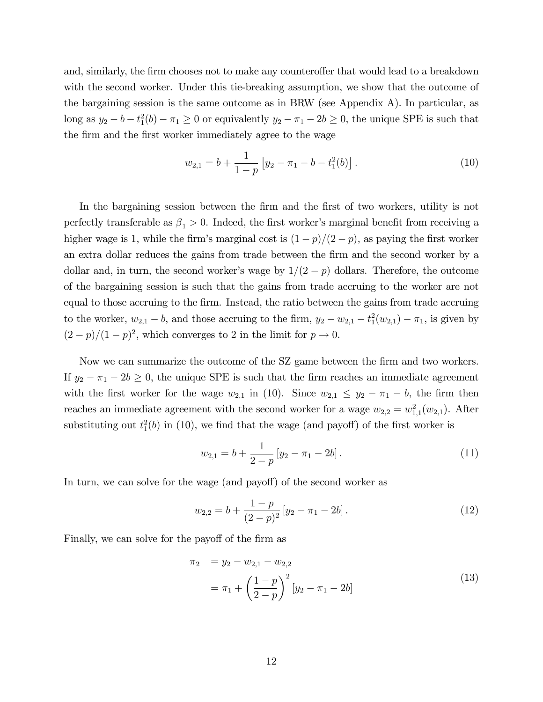and, similarly, the firm chooses not to make any counteroffer that would lead to a breakdown with the second worker. Under this tie-breaking assumption, we show that the outcome of the bargaining session is the same outcome as in BRW (see Appendix A). In particular, as long as  $y_2 - b - t_1^2(b) - \pi_1 \ge 0$  or equivalently  $y_2 - \pi_1 - 2b \ge 0$ , the unique SPE is such that the firm and the first worker immediately agree to the wage

$$
w_{2,1} = b + \frac{1}{1-p} \left[ y_2 - \pi_1 - b - t_1^2(b) \right]. \tag{10}
$$

In the bargaining session between the firm and the first of two workers, utility is not perfectly transferable as  $\beta_1 > 0$ . Indeed, the first worker's marginal benefit from receiving a higher wage is 1, while the firm's marginal cost is  $(1-p)/(2-p)$ , as paying the first worker an extra dollar reduces the gains from trade between the Örm and the second worker by a dollar and, in turn, the second worker's wage by  $1/(2 - p)$  dollars. Therefore, the outcome of the bargaining session is such that the gains from trade accruing to the worker are not equal to those accruing to the Örm. Instead, the ratio between the gains from trade accruing to the worker,  $w_{2,1} - b$ , and those accruing to the firm,  $y_2 - w_{2,1} - t_1^2(w_{2,1}) - \pi_1$ , is given by  $(2-p)/(1-p)^2$ , which converges to 2 in the limit for  $p \to 0$ .

Now we can summarize the outcome of the SZ game between the Örm and two workers. If  $y_2 - \pi_1 - 2b \ge 0$ , the unique SPE is such that the firm reaches an immediate agreement with the first worker for the wage  $w_{2,1}$  in (10). Since  $w_{2,1} \leq y_2 - \pi_1 - b$ , the firm then reaches an immediate agreement with the second worker for a wage  $w_{2,2} = w_{1,1}^2(w_{2,1})$ . After substituting out  $t_1^2(b)$  in (10), we find that the wage (and payoff) of the first worker is

$$
w_{2,1} = b + \frac{1}{2-p} \left[ y_2 - \pi_1 - 2b \right]. \tag{11}
$$

In turn, we can solve for the wage (and payoff) of the second worker as

$$
w_{2,2} = b + \frac{1-p}{(2-p)^2} \left[ y_2 - \pi_1 - 2b \right]. \tag{12}
$$

Finally, we can solve for the payoff of the firm as

$$
\pi_2 = y_2 - w_{2,1} - w_{2,2}
$$
  
=  $\pi_1 + \left(\frac{1-p}{2-p}\right)^2 [y_2 - \pi_1 - 2b]$  (13)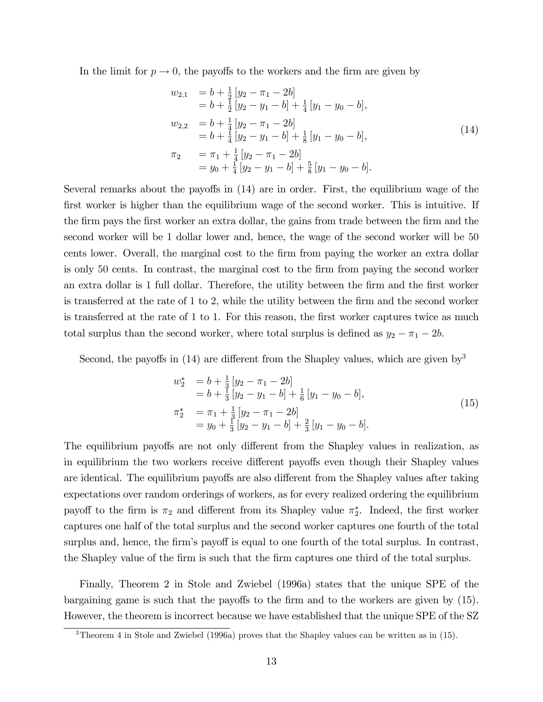In the limit for  $p \to 0$ , the payoffs to the workers and the firm are given by

$$
w_{2,1} = b + \frac{1}{2} [y_2 - \pi_1 - 2b]
$$
  
\n
$$
= b + \frac{1}{2} [y_2 - y_1 - b] + \frac{1}{4} [y_1 - y_0 - b],
$$
  
\n
$$
w_{2,2} = b + \frac{1}{4} [y_2 - \pi_1 - 2b]
$$
  
\n
$$
= b + \frac{1}{4} [y_2 - y_1 - b] + \frac{1}{8} [y_1 - y_0 - b],
$$
  
\n
$$
\pi_2 = \pi_1 + \frac{1}{4} [y_2 - \pi_1 - 2b]
$$
  
\n
$$
= y_0 + \frac{1}{4} [y_2 - y_1 - b] + \frac{5}{8} [y_1 - y_0 - b].
$$
\n(14)

Several remarks about the payoffs in  $(14)$  are in order. First, the equilibrium wage of the first worker is higher than the equilibrium wage of the second worker. This is intuitive. If the firm pays the first worker an extra dollar, the gains from trade between the firm and the second worker will be 1 dollar lower and, hence, the wage of the second worker will be 50 cents lower. Overall, the marginal cost to the firm from paying the worker an extra dollar is only 50 cents. In contrast, the marginal cost to the firm from paying the second worker an extra dollar is 1 full dollar. Therefore, the utility between the firm and the first worker is transferred at the rate of 1 to 2, while the utility between the firm and the second worker is transferred at the rate of 1 to 1. For this reason, the first worker captures twice as much total surplus than the second worker, where total surplus is defined as  $y_2 - \pi_1 - 2b$ .

Second, the payoffs in  $(14)$  are different from the Shapley values, which are given by<sup>3</sup>

$$
w_2^* = b + \frac{1}{3} [y_2 - \pi_1 - 2b] = b + \frac{1}{3} [y_2 - y_1 - b] + \frac{1}{6} [y_1 - y_0 - b], \pi_2^* = \pi_1 + \frac{1}{3} [y_2 - \pi_1 - 2b] = y_0 + \frac{1}{3} [y_2 - y_1 - b] + \frac{2}{3} [y_1 - y_0 - b].
$$
\n(15)

The equilibrium payoffs are not only different from the Shapley values in realization, as in equilibrium the two workers receive different payoffs even though their Shapley values are identical. The equilibrium payoffs are also different from the Shapley values after taking expectations over random orderings of workers, as for every realized ordering the equilibrium payoff to the firm is  $\pi_2$  and different from its Shapley value  $\pi_2^*$ . Indeed, the first worker captures one half of the total surplus and the second worker captures one fourth of the total surplus and, hence, the firm's payoff is equal to one fourth of the total surplus. In contrast, the Shapley value of the Örm is such that the Örm captures one third of the total surplus.

Finally, Theorem 2 in Stole and Zwiebel (1996a) states that the unique SPE of the bargaining game is such that the payoffs to the firm and to the workers are given by  $(15)$ . However, the theorem is incorrect because we have established that the unique SPE of the SZ

 $\overline{3}$ Theorem 4 in Stole and Zwiebel (1996a) proves that the Shapley values can be written as in (15).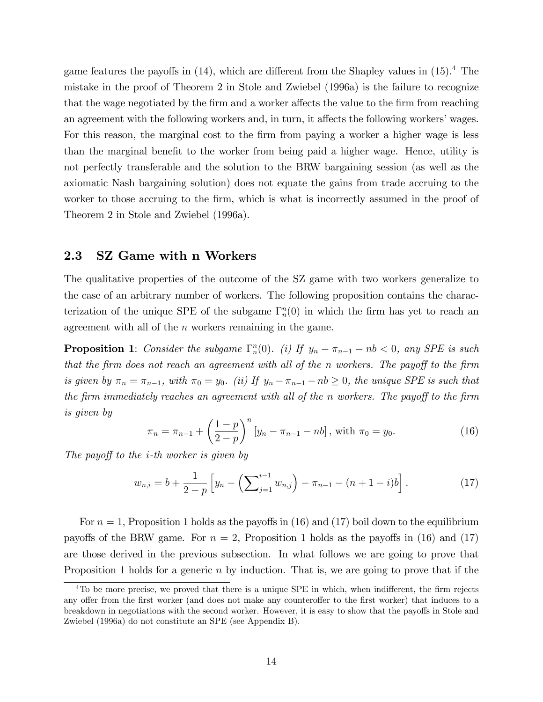game features the payoffs in  $(14)$ , which are different from the Shapley values in  $(15).<sup>4</sup>$  The mistake in the proof of Theorem 2 in Stole and Zwiebel (1996a) is the failure to recognize that the wage negotiated by the firm and a worker affects the value to the firm from reaching an agreement with the following workers and, in turn, it affects the following workers' wages. For this reason, the marginal cost to the firm from paying a worker a higher wage is less than the marginal benefit to the worker from being paid a higher wage. Hence, utility is not perfectly transferable and the solution to the BRW bargaining session (as well as the axiomatic Nash bargaining solution) does not equate the gains from trade accruing to the worker to those accruing to the firm, which is what is incorrectly assumed in the proof of Theorem 2 in Stole and Zwiebel (1996a).

#### 2.3 SZ Game with n Workers

The qualitative properties of the outcome of the SZ game with two workers generalize to the case of an arbitrary number of workers. The following proposition contains the characterization of the unique SPE of the subgame  $\Gamma_n^n(0)$  in which the firm has yet to reach an agreement with all of the  $n$  workers remaining in the game.

**Proposition 1**: Consider the subgame  $\Gamma_n^n(0)$ . (i) If  $y_n - \pi_{n-1} - nb < 0$ , any SPE is such that the firm does not reach an agreement with all of the n workers. The payoff to the firm is given by  $\pi_n = \pi_{n-1}$ , with  $\pi_0 = y_0$ . (ii) If  $y_n - \pi_{n-1} - nb \ge 0$ , the unique SPE is such that the firm immediately reaches an agreement with all of the n workers. The payoff to the firm is given by

$$
\pi_n = \pi_{n-1} + \left(\frac{1-p}{2-p}\right)^n \left[y_n - \pi_{n-1} - nb\right], \text{ with } \pi_0 = y_0. \tag{16}
$$

The payoff to the *i*-th worker is given by

$$
w_{n,i} = b + \frac{1}{2-p} \left[ y_n - \left( \sum_{j=1}^{i-1} w_{n,j} \right) - \pi_{n-1} - (n+1-i)b \right]. \tag{17}
$$

For  $n = 1$ , Proposition 1 holds as the payoffs in (16) and (17) boil down to the equilibrium payoffs of the BRW game. For  $n = 2$ , Proposition 1 holds as the payoffs in (16) and (17) are those derived in the previous subsection. In what follows we are going to prove that Proposition 1 holds for a generic  $n$  by induction. That is, we are going to prove that if the

 $4T_0$  be more precise, we proved that there is a unique SPE in which, when indifferent, the firm rejects any offer from the first worker (and does not make any counteroffer to the first worker) that induces to a breakdown in negotiations with the second worker. However, it is easy to show that the payoffs in Stole and Zwiebel (1996a) do not constitute an SPE (see Appendix B).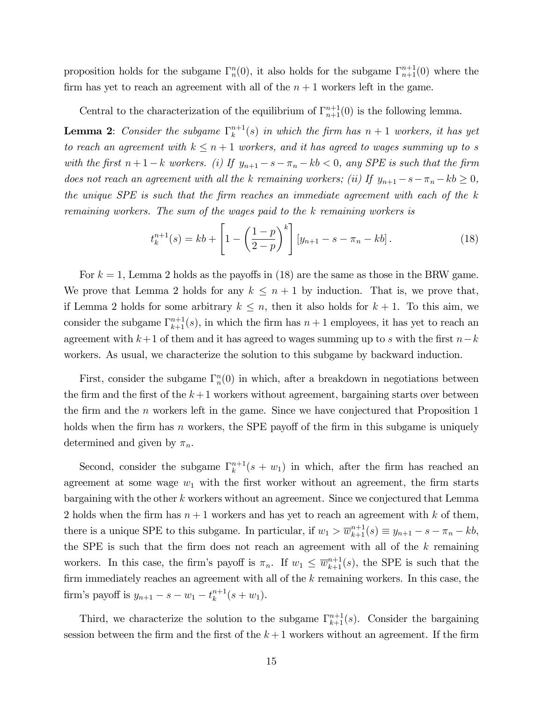proposition holds for the subgame  $\Gamma_n^n(0)$ , it also holds for the subgame  $\Gamma_{n+1}^{n+1}(0)$  where the firm has yet to reach an agreement with all of the  $n + 1$  workers left in the game.

Central to the characterization of the equilibrium of  $\Gamma_{n+1}^{n+1}(0)$  is the following lemma.

**Lemma 2:** Consider the subgame  $\Gamma_k^{n+1}$  $\binom{n+1}{k}(s)$  in which the firm has  $n+1$  workers, it has yet to reach an agreement with  $k \leq n + 1$  workers, and it has agreed to wages summing up to s with the first  $n+1-k$  workers. (i) If  $y_{n+1} - s - \pi_n - kb < 0$ , any SPE is such that the firm does not reach an agreement with all the k remaining workers; (ii) If  $y_{n+1} - s - \pi_n - kb \geq 0$ , the unique  $SPE$  is such that the firm reaches an immediate agreement with each of the  $k$ remaining workers. The sum of the wages paid to the k remaining workers is

$$
t_k^{n+1}(s) = kb + \left[1 - \left(\frac{1-p}{2-p}\right)^k\right] \left[y_{n+1} - s - \pi_n - kb\right].
$$
 (18)

For  $k = 1$ , Lemma 2 holds as the payoffs in (18) are the same as those in the BRW game. We prove that Lemma 2 holds for any  $k \leq n + 1$  by induction. That is, we prove that, if Lemma 2 holds for some arbitrary  $k \leq n$ , then it also holds for  $k + 1$ . To this aim, we consider the subgame  $\Gamma_{k+1}^{n+1}(s)$ , in which the firm has  $n+1$  employees, it has yet to reach an agreement with  $k+1$  of them and it has agreed to wages summing up to s with the first  $n-k$ workers. As usual, we characterize the solution to this subgame by backward induction.

First, consider the subgame  $\Gamma_n^n(0)$  in which, after a breakdown in negotiations between the firm and the first of the  $k+1$  workers without agreement, bargaining starts over between the firm and the  $n$  workers left in the game. Since we have conjectured that Proposition 1 holds when the firm has n workers, the SPE payoff of the firm in this subgame is uniquely determined and given by  $\pi_n$ .

Second, consider the subgame  $\Gamma_k^{n+1}$  $\binom{n+1}{k}(s+w_1)$  in which, after the firm has reached an agreement at some wage  $w_1$  with the first worker without an agreement, the firm starts bargaining with the other k workers without an agreement. Since we conjectured that Lemma 2 holds when the firm has  $n + 1$  workers and has yet to reach an agreement with k of them, there is a unique SPE to this subgame. In particular, if  $w_1 > \overline{w}_{k+1}^{n+1}(s) \equiv y_{n+1} - s - \pi_n - kb$ , the SPE is such that the firm does not reach an agreement with all of the  $k$  remaining workers. In this case, the firm's payoff is  $\pi_n$ . If  $w_1 \leq \overline{w}_{k+1}^{n+1}(s)$ , the SPE is such that the firm immediately reaches an agreement with all of the  $k$  remaining workers. In this case, the firm's payoff is  $y_{n+1} - s - w_1 - t_k^{n+1}$  $_{k}^{n+1}(s+w_{1}).$ 

Third, we characterize the solution to the subgame  $\Gamma_{k+1}^{n+1}(s)$ . Consider the bargaining session between the firm and the first of the  $k+1$  workers without an agreement. If the firm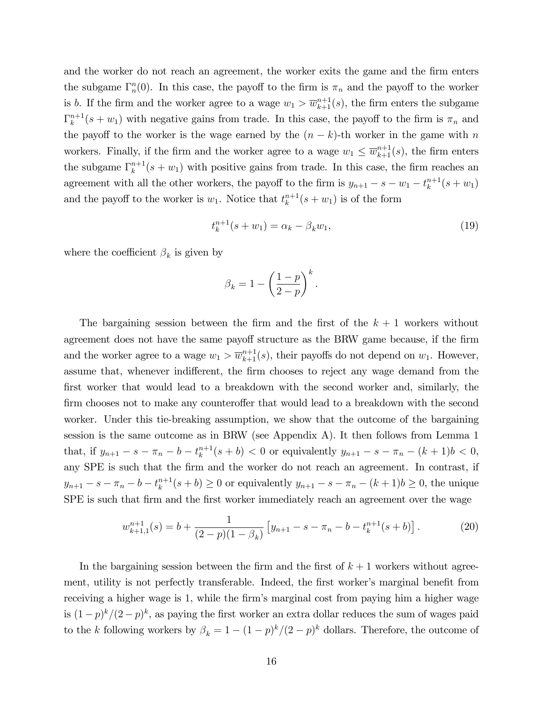and the worker do not reach an agreement, the worker exits the game and the firm enters the subgame  $\Gamma_n^n(0)$ . In this case, the payoff to the firm is  $\pi_n$  and the payoff to the worker is b. If the firm and the worker agree to a wage  $w_1 > \overline{w}_{k+1}^{n+1}(s)$ , the firm enters the subgame  $\Gamma_k^{n+1}$  $k^{n+1}(s+w_1)$  with negative gains from trade. In this case, the payoff to the firm is  $\pi_n$  and the payoff to the worker is the wage earned by the  $(n - k)$ -th worker in the game with n workers. Finally, if the firm and the worker agree to a wage  $w_1 \n\t\leq \overline{w}_{k+1}^{n+1}(s)$ , the firm enters the subgame  $\Gamma_k^{n+1}$  $k^{n+1}(s + w_1)$  with positive gains from trade. In this case, the firm reaches an agreement with all the other workers, the payoff to the firm is  $y_{n+1} - s - w_1 - t_k^{n+1}$  $_{k}^{n+1}(s+w_{1})$ and the payoff to the worker is  $w_1$ . Notice that  $t_k^{n+1}$  $\binom{n+1}{k}(s+w_1)$  is of the form

$$
t_k^{n+1}(s+w_1) = \alpha_k - \beta_k w_1,\tag{19}
$$

.

where the coefficient  $\beta_k$  is given by

$$
\beta_k = 1 - \left(\frac{1-p}{2-p}\right)^k
$$

The bargaining session between the firm and the first of the  $k + 1$  workers without agreement does not have the same payoff structure as the BRW game because, if the firm and the worker agree to a wage  $w_1 > \overline{w}_{k+1}^{n+1}(s)$ , their payoffs do not depend on  $w_1$ . However, assume that, whenever indifferent, the firm chooses to reject any wage demand from the first worker that would lead to a breakdown with the second worker and, similarly, the firm chooses not to make any counteroffer that would lead to a breakdown with the second worker. Under this tie-breaking assumption, we show that the outcome of the bargaining session is the same outcome as in BRW (see Appendix A). It then follows from Lemma 1 that, if  $y_{n+1} - s - \pi_n - b - t_k^{n+1}$  $(k+1)(s+b) < 0$  or equivalently  $y_{n+1} - s - \pi_n - (k+1)b < 0$ , any SPE is such that the Örm and the worker do not reach an agreement. In contrast, if  $y_{n+1} - s - \pi_n - b - t_k^{n+1}$  $(k+1) \geq 0$  or equivalently  $y_{n+1} - s - \pi_n - (k+1)b \geq 0$ , the unique SPE is such that firm and the first worker immediately reach an agreement over the wage

$$
w_{k+1,1}^{n+1}(s) = b + \frac{1}{(2-p)(1-\beta_k)} \left[ y_{n+1} - s - \pi_n - b - t_k^{n+1}(s+b) \right]. \tag{20}
$$

In the bargaining session between the firm and the first of  $k + 1$  workers without agreement, utility is not perfectly transferable. Indeed, the first worker's marginal benefit from receiving a higher wage is 1, while the firm's marginal cost from paying him a higher wage is  $(1-p)^k/(2-p)^k$ , as paying the first worker an extra dollar reduces the sum of wages paid to the k following workers by  $\beta_k = 1 - (1-p)^k/(2-p)^k$  dollars. Therefore, the outcome of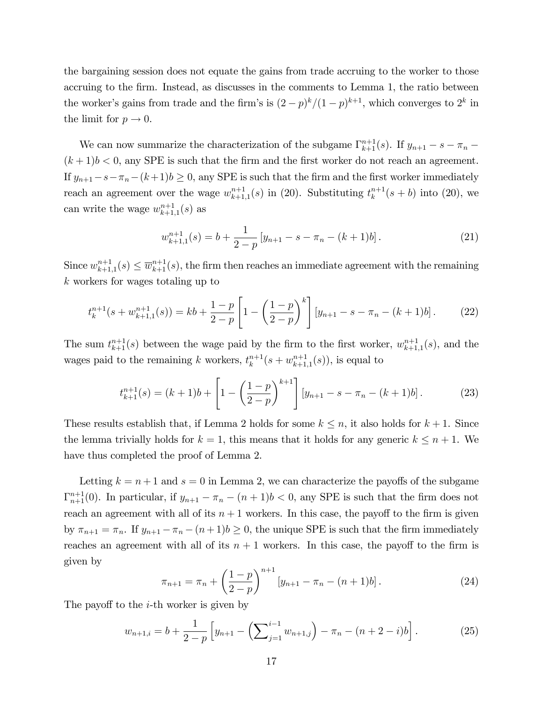the bargaining session does not equate the gains from trade accruing to the worker to those accruing to the firm. Instead, as discusses in the comments to Lemma 1, the ratio between the worker's gains from trade and the firm's is  $(2-p)^k/(1-p)^{k+1}$ , which converges to  $2^k$  in the limit for  $p \to 0$ .

We can now summarize the characterization of the subgame  $\Gamma_{k+1}^{n+1}(s)$ . If  $y_{n+1} - s - \pi_n$  $(k+1)b < 0$ , any SPE is such that the firm and the first worker do not reach an agreement. If  $y_{n+1}-s-\pi_n-(k+1)b\geq 0$ , any SPE is such that the firm and the first worker immediately reach an agreement over the wage  $w_{k+1}^{n+1}$  $_{k+1,1}^{n+1}(s)$  in (20). Substituting  $t_k^{n+1}$  $_{k}^{n+1}(s + b)$  into (20), we can write the wage  $w_{k+1}^{n+1}$  $_{k+1,1}^{n+1}(s)$  as

$$
w_{k+1,1}^{n+1}(s) = b + \frac{1}{2-p} \left[ y_{n+1} - s - \pi_n - (k+1)b \right]. \tag{21}
$$

Since  $w_{k+1}^{n+1}$  $\overline{w}_{k+1,1}^{n+1}(s) \leq \overline{w}_{k+1}^{n+1}(s)$ , the firm then reaches an immediate agreement with the remaining k workers for wages totaling up to

$$
t_k^{n+1}(s + w_{k+1,1}^{n+1}(s)) = kb + \frac{1-p}{2-p} \left[ 1 - \left(\frac{1-p}{2-p}\right)^k \right] \left[ y_{n+1} - s - \pi_n - (k+1)b \right]. \tag{22}
$$

The sum  $t_{k+1}^{n+1}(s)$  between the wage paid by the firm to the first worker,  $w_{k+1}^{n+1}$  $_{k+1,1}^{n+1}(s)$ , and the wages paid to the remaining k workers,  $t_k^{n+1}$  $_{k}^{n+1}(s+w_{k+1}^{n+1})$  $_{k+1,1}^{n+1}(s)$ , is equal to

$$
t_{k+1}^{n+1}(s) = (k+1)b + \left[1 - \left(\frac{1-p}{2-p}\right)^{k+1}\right] \left[y_{n+1} - s - \pi_n - (k+1)b\right].\tag{23}
$$

These results establish that, if Lemma 2 holds for some  $k \leq n$ , it also holds for  $k + 1$ . Since the lemma trivially holds for  $k = 1$ , this means that it holds for any generic  $k \leq n + 1$ . We have thus completed the proof of Lemma 2.

Letting  $k = n + 1$  and  $s = 0$  in Lemma 2, we can characterize the payoffs of the subgame  $\Gamma_{n+1}^{n+1}(0)$ . In particular, if  $y_{n+1} - \pi_n - (n+1)b < 0$ , any SPE is such that the firm does not reach an agreement with all of its  $n + 1$  workers. In this case, the payoff to the firm is given by  $\pi_{n+1} = \pi_n$ . If  $y_{n+1} - \pi_n - (n+1)b \ge 0$ , the unique SPE is such that the firm immediately reaches an agreement with all of its  $n + 1$  workers. In this case, the payoff to the firm is given by

$$
\pi_{n+1} = \pi_n + \left(\frac{1-p}{2-p}\right)^{n+1} \left[y_{n+1} - \pi_n - (n+1)b\right].
$$
\n(24)

The payoff to the  $i$ -th worker is given by

$$
w_{n+1,i} = b + \frac{1}{2-p} \left[ y_{n+1} - \left( \sum_{j=1}^{i-1} w_{n+1,j} \right) - \pi_n - (n+2-i)b \right]. \tag{25}
$$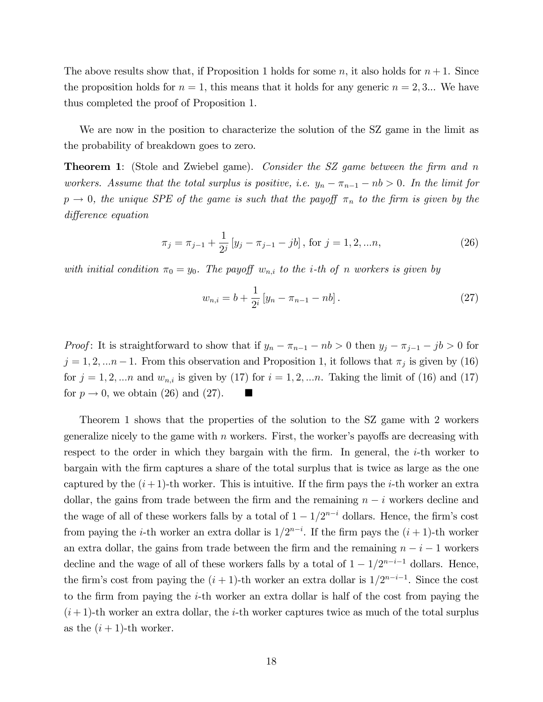The above results show that, if Proposition 1 holds for some n, it also holds for  $n + 1$ . Since the proposition holds for  $n = 1$ , this means that it holds for any generic  $n = 2, 3...$  We have thus completed the proof of Proposition 1.

We are now in the position to characterize the solution of the SZ game in the limit as the probability of breakdown goes to zero.

**Theorem 1:** (Stole and Zwiebel game). Consider the SZ game between the firm and n workers. Assume that the total surplus is positive, i.e.  $y_n - \pi_{n-1} - nb > 0$ . In the limit for  $p \rightarrow 0$ , the unique SPE of the game is such that the payoff  $\pi_n$  to the firm is given by the difference equation

$$
\pi_j = \pi_{j-1} + \frac{1}{2^j} \left[ y_j - \pi_{j-1} - jb \right], \text{ for } j = 1, 2, \dots n,
$$
\n(26)

with initial condition  $\pi_0 = y_0$ . The payoff  $w_{n,i}$  to the *i*-th of n workers is given by

$$
w_{n,i} = b + \frac{1}{2^i} \left[ y_n - \pi_{n-1} - nb \right]. \tag{27}
$$

*Proof*: It is straightforward to show that if  $y_n - \pi_{n-1} - nb > 0$  then  $y_j - \pi_{j-1} - jb > 0$  for  $j = 1, 2, \dots n-1$ . From this observation and Proposition 1, it follows that  $\pi_j$  is given by (16) for  $j = 1, 2, \ldots n$  and  $w_{n,i}$  is given by (17) for  $i = 1, 2, \ldots n$ . Taking the limit of (16) and (17) for  $p \to 0$ , we obtain (26) and (27).

Theorem 1 shows that the properties of the solution to the SZ game with 2 workers generalize nicely to the game with  $n$  workers. First, the worker's payoffs are decreasing with respect to the order in which they bargain with the firm. In general, the  $i$ -th worker to bargain with the Örm captures a share of the total surplus that is twice as large as the one captured by the  $(i+1)$ -th worker. This is intuitive. If the firm pays the *i*-th worker an extra dollar, the gains from trade between the firm and the remaining  $n - i$  workers decline and the wage of all of these workers falls by a total of  $1 - 1/2^{n-i}$  dollars. Hence, the firm's cost from paying the *i*-th worker an extra dollar is  $1/2^{n-i}$ . If the firm pays the  $(i + 1)$ -th worker an extra dollar, the gains from trade between the firm and the remaining  $n - i - 1$  workers decline and the wage of all of these workers falls by a total of  $1 - 1/2^{n-i-1}$  dollars. Hence, the firm's cost from paying the  $(i + 1)$ -th worker an extra dollar is  $1/2^{n-i-1}$ . Since the cost to the firm from paying the  $i$ -th worker an extra dollar is half of the cost from paying the  $(i+1)$ -th worker an extra dollar, the *i*-th worker captures twice as much of the total surplus as the  $(i + 1)$ -th worker.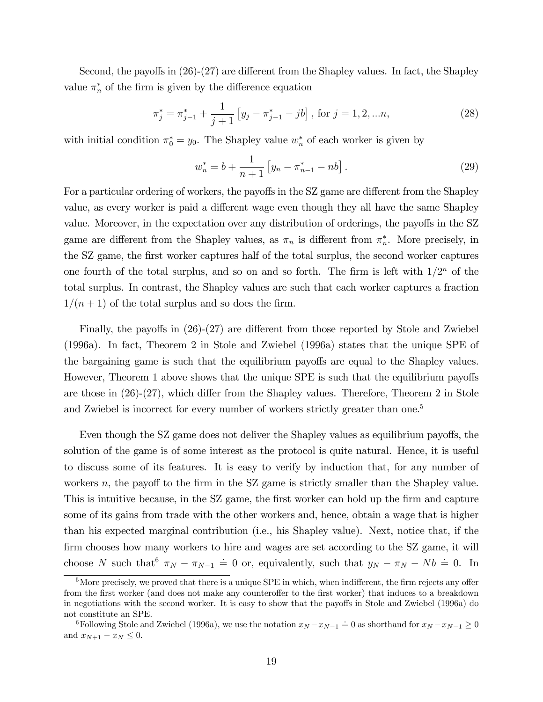Second, the payoffs in  $(26)-(27)$  are different from the Shapley values. In fact, the Shapley value  $\pi_n^*$  of the firm is given by the difference equation

$$
\pi_j^* = \pi_{j-1}^* + \frac{1}{j+1} \left[ y_j - \pi_{j-1}^* - jb \right], \text{ for } j = 1, 2, \dots n,
$$
\n(28)

with initial condition  $\pi_0^* = y_0$ . The Shapley value  $w_n^*$  of each worker is given by

$$
w_n^* = b + \frac{1}{n+1} \left[ y_n - \pi_{n-1}^* - nb \right]. \tag{29}
$$

For a particular ordering of workers, the payoffs in the SZ game are different from the Shapley value, as every worker is paid a different wage even though they all have the same Shapley value. Moreover, in the expectation over any distribution of orderings, the payoffs in the SZ game are different from the Shapley values, as  $\pi_n$  is different from  $\pi_n^*$ . More precisely, in the SZ game, the first worker captures half of the total surplus, the second worker captures one fourth of the total surplus, and so on and so forth. The firm is left with  $1/2^n$  of the total surplus. In contrast, the Shapley values are such that each worker captures a fraction  $1/(n + 1)$  of the total surplus and so does the firm.

Finally, the payoffs in  $(26)-(27)$  are different from those reported by Stole and Zwiebel (1996a). In fact, Theorem 2 in Stole and Zwiebel (1996a) states that the unique SPE of the bargaining game is such that the equilibrium payoffs are equal to the Shapley values. However, Theorem 1 above shows that the unique SPE is such that the equilibrium payoffs are those in  $(26)-(27)$ , which differ from the Shapley values. Therefore, Theorem 2 in Stole and Zwiebel is incorrect for every number of workers strictly greater than one.<sup>5</sup>

Even though the SZ game does not deliver the Shapley values as equilibrium payoffs, the solution of the game is of some interest as the protocol is quite natural. Hence, it is useful to discuss some of its features. It is easy to verify by induction that, for any number of workers  $n$ , the payoff to the firm in the SZ game is strictly smaller than the Shapley value. This is intuitive because, in the SZ game, the first worker can hold up the firm and capture some of its gains from trade with the other workers and, hence, obtain a wage that is higher than his expected marginal contribution (i.e., his Shapley value). Next, notice that, if the firm chooses how many workers to hire and wages are set according to the SZ game, it will choose N such that  $\pi_N - \pi_{N-1} = 0$  or, equivalently, such that  $y_N - \pi_N - Nb = 0$ . In

 $5$ More precisely, we proved that there is a unique SPE in which, when indifferent, the firm rejects any offer from the first worker (and does not make any counteroffer to the first worker) that induces to a breakdown in negotiations with the second worker. It is easy to show that the payoffs in Stole and Zwiebel (1996a) do not constitute an SPE.

Following Stole and Zwiebel (1996a), we use the notation  $x_N - x_{N-1} \doteq 0$  as shorthand for  $x_N - x_{N-1} \geq 0$ and  $x_{N+1} - x_N \leq 0$ .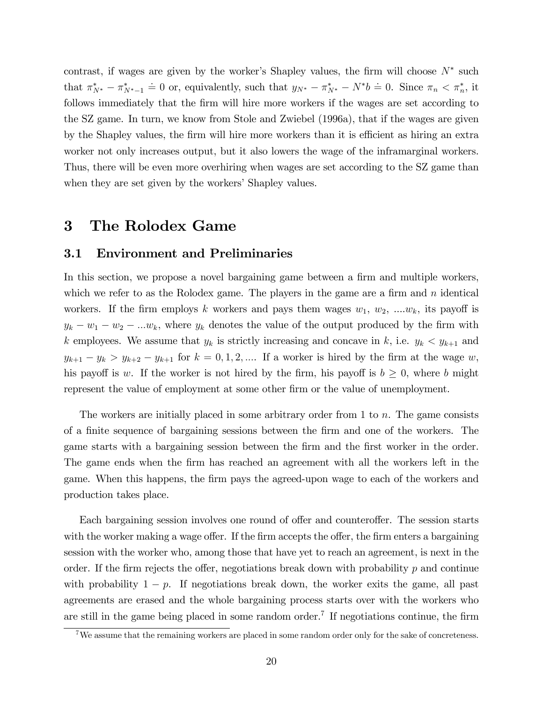contrast, if wages are given by the worker's Shapley values, the firm will choose  $N^*$  such that  $\pi_{N^*}^* - \pi_{N^*-1}^* = 0$  or, equivalently, such that  $y_{N^*} - \pi_{N^*}^* - N^*b = 0$ . Since  $\pi_n < \pi_n^*$ , it follows immediately that the firm will hire more workers if the wages are set according to the SZ game. In turn, we know from Stole and Zwiebel (1996a), that if the wages are given by the Shapley values, the firm will hire more workers than it is efficient as hiring an extra worker not only increases output, but it also lowers the wage of the inframarginal workers. Thus, there will be even more overhiring when wages are set according to the SZ game than when they are set given by the workers' Shapley values.

### 3 The Rolodex Game

#### 3.1 Environment and Preliminaries

In this section, we propose a novel bargaining game between a firm and multiple workers, which we refer to as the Rolodex game. The players in the game are a firm and  $n$  identical workers. If the firm employs k workers and pays them wages  $w_1, w_2, ..., w_k$ , its payoff is  $y_k - w_1 - w_2 - \ldots w_k$ , where  $y_k$  denotes the value of the output produced by the firm with k employees. We assume that  $y_k$  is strictly increasing and concave in k, i.e.  $y_k < y_{k+1}$  and  $y_{k+1} - y_k > y_{k+2} - y_{k+1}$  for  $k = 0, 1, 2, ...$  If a worker is hired by the firm at the wage w, his payoff is w. If the worker is not hired by the firm, his payoff is  $b \geq 0$ , where b might represent the value of employment at some other Örm or the value of unemployment.

The workers are initially placed in some arbitrary order from 1 to  $n$ . The game consists of a Önite sequence of bargaining sessions between the Örm and one of the workers. The game starts with a bargaining session between the firm and the first worker in the order. The game ends when the Örm has reached an agreement with all the workers left in the game. When this happens, the Örm pays the agreed-upon wage to each of the workers and production takes place.

Each bargaining session involves one round of offer and counteroffer. The session starts with the worker making a wage offer. If the firm accepts the offer, the firm enters a bargaining session with the worker who, among those that have yet to reach an agreement, is next in the order. If the firm rejects the offer, negotiations break down with probability  $p$  and continue with probability  $1 - p$ . If negotiations break down, the worker exits the game, all past agreements are erased and the whole bargaining process starts over with the workers who are still in the game being placed in some random order.<sup>7</sup> If negotiations continue, the firm

 $7\,\text{We assume that the remaining workers are placed in some random order only for the sake of concreteness.}$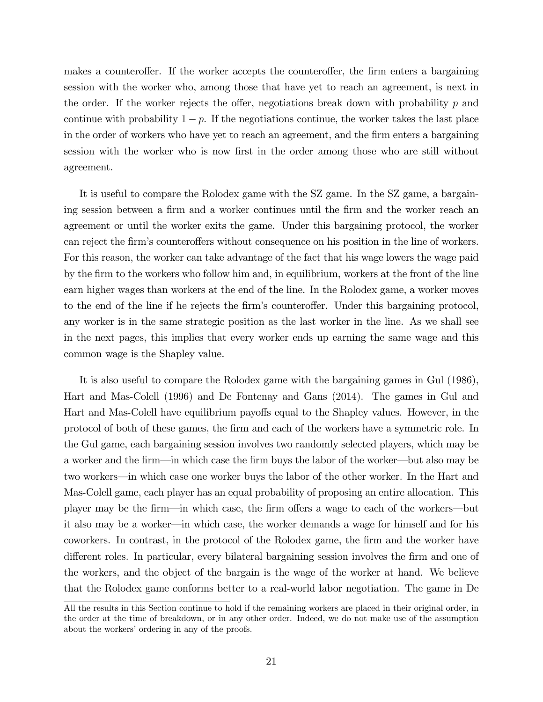makes a counteroffer. If the worker accepts the counteroffer, the firm enters a bargaining session with the worker who, among those that have yet to reach an agreement, is next in the order. If the worker rejects the offer, negotiations break down with probability  $p$  and continue with probability  $1 - p$ . If the negotiations continue, the worker takes the last place in the order of workers who have yet to reach an agreement, and the firm enters a bargaining session with the worker who is now first in the order among those who are still without agreement.

It is useful to compare the Rolodex game with the SZ game. In the SZ game, a bargaining session between a firm and a worker continues until the firm and the worker reach an agreement or until the worker exits the game. Under this bargaining protocol, the worker can reject the firm's counteroffers without consequence on his position in the line of workers. For this reason, the worker can take advantage of the fact that his wage lowers the wage paid by the firm to the workers who follow him and, in equilibrium, workers at the front of the line earn higher wages than workers at the end of the line. In the Rolodex game, a worker moves to the end of the line if he rejects the firm's counteroffer. Under this bargaining protocol, any worker is in the same strategic position as the last worker in the line. As we shall see in the next pages, this implies that every worker ends up earning the same wage and this common wage is the Shapley value.

It is also useful to compare the Rolodex game with the bargaining games in Gul (1986), Hart and Mas-Colell (1996) and De Fontenay and Gans (2014). The games in Gul and Hart and Mas-Colell have equilibrium payoffs equal to the Shapley values. However, in the protocol of both of these games, the Örm and each of the workers have a symmetric role. In the Gul game, each bargaining session involves two randomly selected players, which may be a worker and the firm—in which case the firm buys the labor of the worker—but also may be two workers—in which case one worker buys the labor of the other worker. In the Hart and Mas-Colell game, each player has an equal probability of proposing an entire allocation. This player may be the firm—in which case, the firm offers a wage to each of the workers—but it also may be a worker—in which case, the worker demands a wage for himself and for his coworkers. In contrast, in the protocol of the Rolodex game, the Örm and the worker have different roles. In particular, every bilateral bargaining session involves the firm and one of the workers, and the object of the bargain is the wage of the worker at hand. We believe that the Rolodex game conforms better to a real-world labor negotiation. The game in De

All the results in this Section continue to hold if the remaining workers are placed in their original order, in the order at the time of breakdown, or in any other order. Indeed, we do not make use of the assumption about the workers' ordering in any of the proofs.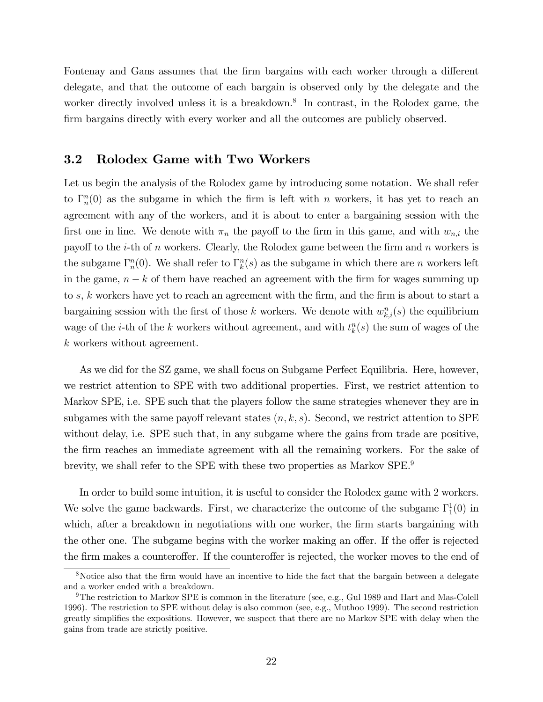Fontenay and Gans assumes that the firm bargains with each worker through a different delegate, and that the outcome of each bargain is observed only by the delegate and the worker directly involved unless it is a breakdown.<sup>8</sup> In contrast, in the Rolodex game, the firm bargains directly with every worker and all the outcomes are publicly observed.

#### 3.2 Rolodex Game with Two Workers

Let us begin the analysis of the Rolodex game by introducing some notation. We shall refer to  $\Gamma_n^n(0)$  as the subgame in which the firm is left with n workers, it has yet to reach an agreement with any of the workers, and it is about to enter a bargaining session with the first one in line. We denote with  $\pi_n$  the payoff to the firm in this game, and with  $w_{n,i}$  the payoff to the *i*-th of *n* workers. Clearly, the Rolodex game between the firm and *n* workers is the subgame  $\Gamma_n^n(0)$ . We shall refer to  $\Gamma_k^n(s)$  as the subgame in which there are n workers left in the game,  $n - k$  of them have reached an agreement with the firm for wages summing up to s, k workers have yet to reach an agreement with the firm, and the firm is about to start a bargaining session with the first of those k workers. We denote with  $w_{k,i}^n(s)$  the equilibrium wage of the *i*-th of the k workers without agreement, and with  $t_k^n(s)$  the sum of wages of the k workers without agreement.

As we did for the SZ game, we shall focus on Subgame Perfect Equilibria. Here, however, we restrict attention to SPE with two additional properties. First, we restrict attention to Markov SPE, i.e. SPE such that the players follow the same strategies whenever they are in subgames with the same payoff relevant states  $(n, k, s)$ . Second, we restrict attention to SPE without delay, i.e. SPE such that, in any subgame where the gains from trade are positive, the Örm reaches an immediate agreement with all the remaining workers. For the sake of brevity, we shall refer to the SPE with these two properties as Markov SPE.<sup>9</sup>

In order to build some intuition, it is useful to consider the Rolodex game with 2 workers. We solve the game backwards. First, we characterize the outcome of the subgame  $\Gamma_1^1(0)$  in which, after a breakdown in negotiations with one worker, the firm starts bargaining with the other one. The subgame begins with the worker making an offer. If the offer is rejected the firm makes a counteroffer. If the counteroffer is rejected, the worker moves to the end of

<sup>&</sup>lt;sup>8</sup>Notice also that the firm would have an incentive to hide the fact that the bargain between a delegate and a worker ended with a breakdown.

<sup>&</sup>lt;sup>9</sup>The restriction to Markov SPE is common in the literature (see, e.g., Gul 1989 and Hart and Mas-Colell 1996). The restriction to SPE without delay is also common (see, e.g., Muthoo 1999). The second restriction greatly simplifies the expositions. However, we suspect that there are no Markov SPE with delay when the gains from trade are strictly positive.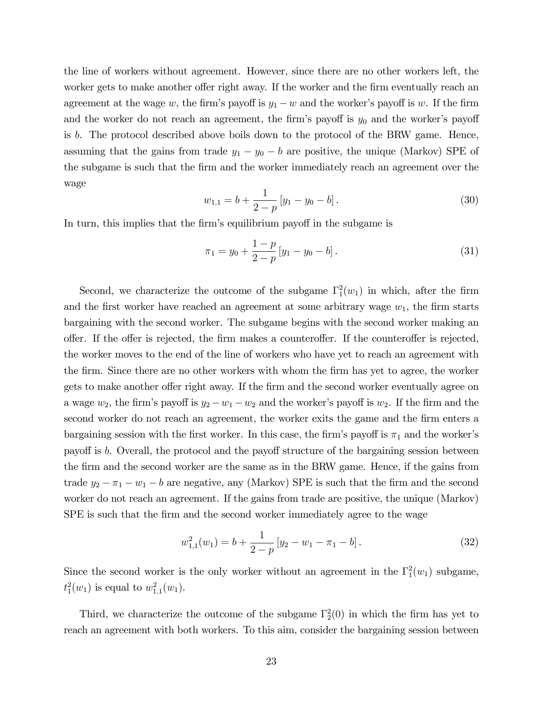the line of workers without agreement. However, since there are no other workers left, the worker gets to make another offer right away. If the worker and the firm eventually reach an agreement at the wage w, the firm's payoff is  $y_1 - w$  and the worker's payoff is w. If the firm and the worker do not reach an agreement, the firm's payoff is  $y_0$  and the worker's payoff is b. The protocol described above boils down to the protocol of the BRW game. Hence, assuming that the gains from trade  $y_1 - y_0 - b$  are positive, the unique (Markov) SPE of the subgame is such that the Örm and the worker immediately reach an agreement over the wage

$$
w_{1,1} = b + \frac{1}{2-p} \left[ y_1 - y_0 - b \right]. \tag{30}
$$

In turn, this implies that the firm's equilibrium payoff in the subgame is

$$
\pi_1 = y_0 + \frac{1-p}{2-p} [y_1 - y_0 - b]. \tag{31}
$$

Second, we characterize the outcome of the subgame  $\Gamma_1^2(w_1)$  in which, after the firm and the first worker have reached an agreement at some arbitrary wage  $w_1$ , the firm starts bargaining with the second worker. The subgame begins with the second worker making an offer. If the offer is rejected, the firm makes a counteroffer. If the counteroffer is rejected, the worker moves to the end of the line of workers who have yet to reach an agreement with the Örm. Since there are no other workers with whom the Örm has yet to agree, the worker gets to make another offer right away. If the firm and the second worker eventually agree on a wage  $w_2$ , the firm's payoff is  $y_2 - w_1 - w_2$  and the worker's payoff is  $w_2$ . If the firm and the second worker do not reach an agreement, the worker exits the game and the firm enters a bargaining session with the first worker. In this case, the firm's payoff is  $\pi_1$  and the worker's payoff is b. Overall, the protocol and the payoff structure of the bargaining session between the firm and the second worker are the same as in the BRW game. Hence, if the gains from trade  $y_2 - \pi_1 - w_1 - b$  are negative, any (Markov) SPE is such that the firm and the second worker do not reach an agreement. If the gains from trade are positive, the unique (Markov) SPE is such that the firm and the second worker immediately agree to the wage

$$
w_{1,1}^2(w_1) = b + \frac{1}{2-p} \left[ y_2 - w_1 - \pi_1 - b \right]. \tag{32}
$$

Since the second worker is the only worker without an agreement in the  $\Gamma_1^2(w_1)$  subgame,  $t_1^2(w_1)$  is equal to  $w_{1,1}^2(w_1)$ .

Third, we characterize the outcome of the subgame  $\Gamma_2^2(0)$  in which the firm has yet to reach an agreement with both workers. To this aim, consider the bargaining session between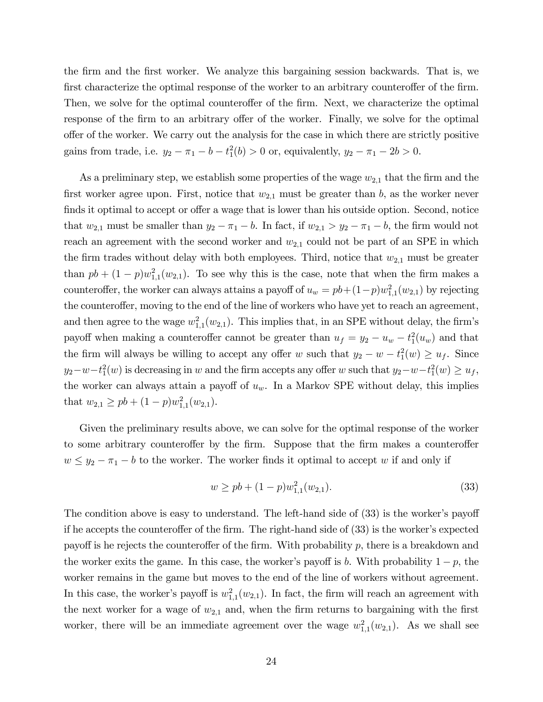the Örm and the Örst worker. We analyze this bargaining session backwards. That is, we first characterize the optimal response of the worker to an arbitrary counteroffer of the firm. Then, we solve for the optimal counteroffer of the firm. Next, we characterize the optimal response of the firm to an arbitrary offer of the worker. Finally, we solve for the optimal offer of the worker. We carry out the analysis for the case in which there are strictly positive gains from trade, i.e.  $y_2 - \pi_1 - b - t_1^2(b) > 0$  or, equivalently,  $y_2 - \pi_1 - 2b > 0$ .

As a preliminary step, we establish some properties of the wage  $w_{2,1}$  that the firm and the first worker agree upon. First, notice that  $w_{2,1}$  must be greater than b, as the worker never finds it optimal to accept or offer a wage that is lower than his outside option. Second, notice that  $w_{2,1}$  must be smaller than  $y_2 - \pi_1 - b$ . In fact, if  $w_{2,1} > y_2 - \pi_1 - b$ , the firm would not reach an agreement with the second worker and  $w_{2,1}$  could not be part of an SPE in which the firm trades without delay with both employees. Third, notice that  $w_{2,1}$  must be greater than  $pb + (1-p)w_{1,1}^2(w_{2,1})$ . To see why this is the case, note that when the firm makes a counteroffer, the worker can always attains a payoff of  $u_w = pb + (1-p)w_{1,1}^2(w_{2,1})$  by rejecting the counteroffer, moving to the end of the line of workers who have yet to reach an agreement, and then agree to the wage  $w_{1,1}^2(w_{2,1})$ . This implies that, in an SPE without delay, the firm's payoff when making a counteroffer cannot be greater than  $u_f = y_2 - u_w - t_1^2(u_w)$  and that the firm will always be willing to accept any offer w such that  $y_2 - w - t_1^2(w) \ge u_f$ . Since  $y_2-w-t_1^2(w)$  is decreasing in w and the firm accepts any offer w such that  $y_2-w-t_1^2(w) \geq u_f$ , the worker can always attain a payoff of  $u_w$ . In a Markov SPE without delay, this implies that  $w_{2,1} \geq pb + (1-p)w_{1,1}^2(w_{2,1}).$ 

Given the preliminary results above, we can solve for the optimal response of the worker to some arbitrary counteroffer by the firm. Suppose that the firm makes a counteroffer  $w \leq y_2 - \pi_1 - b$  to the worker. The worker finds it optimal to accept w if and only if

$$
w \ge pb + (1 - p)w_{1,1}^2(w_{2,1}).
$$
\n(33)

The condition above is easy to understand. The left-hand side of  $(33)$  is the worker's payoff if he accepts the counteroffer of the firm. The right-hand side of  $(33)$  is the worker's expected payoff is he rejects the counteroffer of the firm. With probability  $p$ , there is a breakdown and the worker exits the game. In this case, the worker's payoff is b. With probability  $1 - p$ , the worker remains in the game but moves to the end of the line of workers without agreement. In this case, the worker's payoff is  $w_{1,1}^2(w_{2,1})$ . In fact, the firm will reach an agreement with the next worker for a wage of  $w_{2,1}$  and, when the firm returns to bargaining with the first worker, there will be an immediate agreement over the wage  $w_{1,1}^2(w_{2,1})$ . As we shall see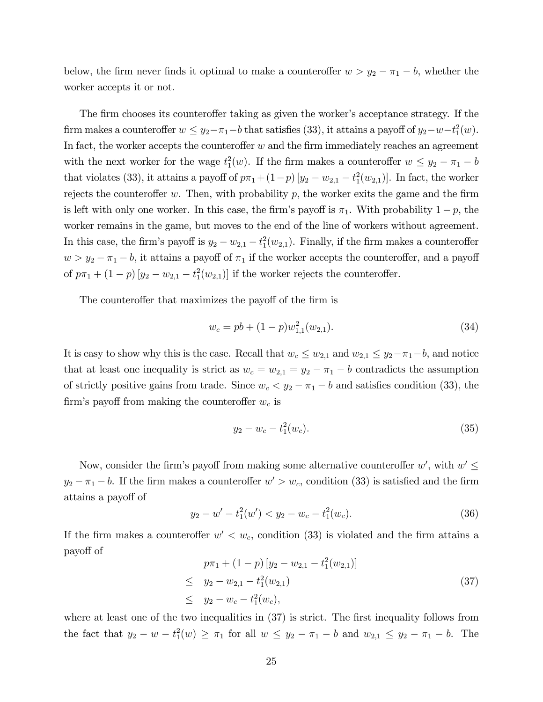below, the firm never finds it optimal to make a counteroffer  $w > y_2 - \pi_1 - b$ , whether the worker accepts it or not.

The firm chooses its counteroffer taking as given the worker's acceptance strategy. If the firm makes a counteroffer  $w \leq y_2 - \pi_1 - b$  that satisfies (33), it attains a payoff of  $y_2 - w - t_1^2(w)$ . In fact, the worker accepts the counteroffer  $w$  and the firm immediately reaches an agreement with the next worker for the wage  $t_1^2(w)$ . If the firm makes a counteroffer  $w \leq y_2 - \pi_1 - b$ that violates (33), it attains a payoff of  $p\pi_1 + (1-p) [y_2 - w_{2,1} - t_1^2(w_{2,1})]$ . In fact, the worker rejects the counteroffer w. Then, with probability  $p$ , the worker exits the game and the firm is left with only one worker. In this case, the firm's payoff is  $\pi_1$ . With probability  $1 - p$ , the worker remains in the game, but moves to the end of the line of workers without agreement. In this case, the firm's payoff is  $y_2 - w_{2,1} - t_1^2(w_{2,1})$ . Finally, if the firm makes a counteroffer  $w > y_2 - \pi_1 - b$ , it attains a payoff of  $\pi_1$  if the worker accepts the counteroffer, and a payoff of  $p\pi_1 + (1-p) [y_2 - w_{2,1} - t_1^2(w_{2,1})]$  if the worker rejects the counteroffer.

The counteroffer that maximizes the payoff of the firm is

$$
w_c = pb + (1 - p)w_{1,1}^2(w_{2,1}).
$$
\n(34)

It is easy to show why this is the case. Recall that  $w_c \leq w_{2,1}$  and  $w_{2,1} \leq y_2 - \pi_1 - b$ , and notice that at least one inequality is strict as  $w_c = w_{2,1} = y_2 - \pi_1 - b$  contradicts the assumption of strictly positive gains from trade. Since  $w_c < y_2 - \pi_1 - b$  and satisfies condition (33), the firm's payoff from making the counteroffer  $w_c$  is

$$
y_2 - w_c - t_1^2(w_c). \tag{35}
$$

Now, consider the firm's payoff from making some alternative counteroffer  $w'$ , with  $w' \leq$  $y_2 - \pi_1 - b$ . If the firm makes a counteroffer  $w' > w_c$ , condition (33) is satisfied and the firm attains a payoff of

$$
y_2 - w' - t_1^2(w') < y_2 - w_c - t_1^2(w_c). \tag{36}
$$

If the firm makes a counteroffer  $w' < w_c$ , condition (33) is violated and the firm attains a payo§ of

$$
p\pi_1 + (1-p) [y_2 - w_{2,1} - t_1^2(w_{2,1})]
$$
  
\n
$$
\leq y_2 - w_{2,1} - t_1^2(w_{2,1})
$$
  
\n
$$
\leq y_2 - w_c - t_1^2(w_c),
$$
\n(37)

where at least one of the two inequalities in  $(37)$  is strict. The first inequality follows from the fact that  $y_2 - w - t_1^2(w) \ge \pi_1$  for all  $w \le y_2 - \pi_1 - b$  and  $w_{2,1} \le y_2 - \pi_1 - b$ . The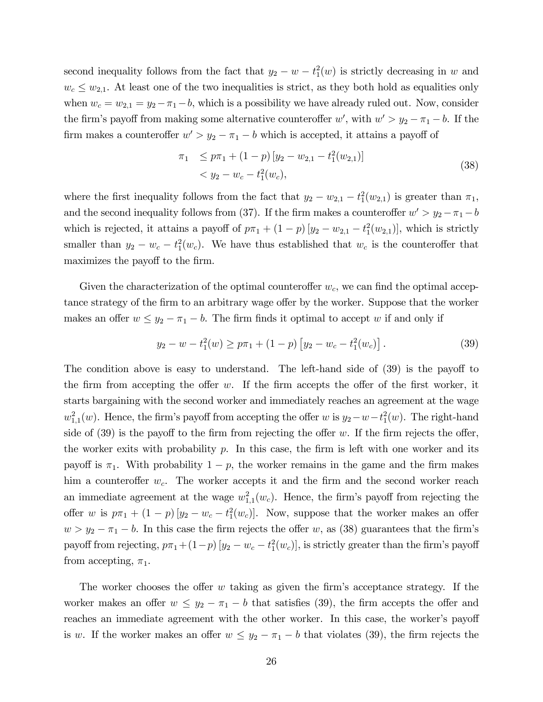second inequality follows from the fact that  $y_2 - w - t_1^2(w)$  is strictly decreasing in w and  $w_c \leq w_{2,1}$ . At least one of the two inequalities is strict, as they both hold as equalities only when  $w_c = w_{2,1} = y_2 - \pi_1 - b$ , which is a possibility we have already ruled out. Now, consider the firm's payoff from making some alternative counteroffer w', with  $w' > y_2 - \pi_1 - b$ . If the firm makes a counteroffer  $w' > y_2 - \pi_1 - b$  which is accepted, it attains a payoff of

$$
\pi_1 \leq p\pi_1 + (1-p) [y_2 - w_{2,1} - t_1^2(w_{2,1})]
$$
  

$$
< y_2 - w_c - t_1^2(w_c),
$$
 (38)

where the first inequality follows from the fact that  $y_2 - w_{2,1} - t_1^2(w_{2,1})$  is greater than  $\pi_1$ , and the second inequality follows from (37). If the firm makes a counteroffer  $w' > y_2 - \pi_1 - b$ which is rejected, it attains a payoff of  $p\pi_1 + (1-p)[y_2 - w_{2,1} - t_1^2(w_{2,1})]$ , which is strictly smaller than  $y_2 - w_c - t_1^2(w_c)$ . We have thus established that  $w_c$  is the counteroffer that maximizes the payoff to the firm.

Given the characterization of the optimal counteroffer  $w_c$ , we can find the optimal acceptance strategy of the firm to an arbitrary wage offer by the worker. Suppose that the worker makes an offer  $w \leq y_2 - \pi_1 - b$ . The firm finds it optimal to accept w if and only if

$$
y_2 - w - t_1^2(w) \ge p\pi_1 + (1 - p) \left[ y_2 - w_c - t_1^2(w_c) \right]. \tag{39}
$$

The condition above is easy to understand. The left-hand side of  $(39)$  is the payoff to the firm from accepting the offer w. If the firm accepts the offer of the first worker, it starts bargaining with the second worker and immediately reaches an agreement at the wage  $w_{1,1}^2(w)$ . Hence, the firm's payoff from accepting the offer w is  $y_2 - w - t_1^2(w)$ . The right-hand side of  $(39)$  is the payoff to the firm from rejecting the offer w. If the firm rejects the offer, the worker exits with probability  $p$ . In this case, the firm is left with one worker and its payoff is  $\pi_1$ . With probability  $1 - p$ , the worker remains in the game and the firm makes him a counteroffer  $w_c$ . The worker accepts it and the firm and the second worker reach an immediate agreement at the wage  $w_{1,1}^2(w_c)$ . Hence, the firm's payoff from rejecting the offer w is  $p\pi_1 + (1-p)[y_2 - w_c - t_1^2(w_c)]$ . Now, suppose that the worker makes an offer  $w > y_2 - \pi_1 - b$ . In this case the firm rejects the offer w, as (38) guarantees that the firm's payoff from rejecting,  $p\pi_1 + (1-p) [y_2 - w_c - t_1^2(w_c)]$ , is strictly greater than the firm's payoff from accepting,  $\pi_1$ .

The worker chooses the offer  $w$  taking as given the firm's acceptance strategy. If the worker makes an offer  $w \leq y_2 - \pi_1 - b$  that satisfies (39), the firm accepts the offer and reaches an immediate agreement with the other worker. In this case, the worker's payoff is w. If the worker makes an offer  $w \leq y_2 - \pi_1 - b$  that violates (39), the firm rejects the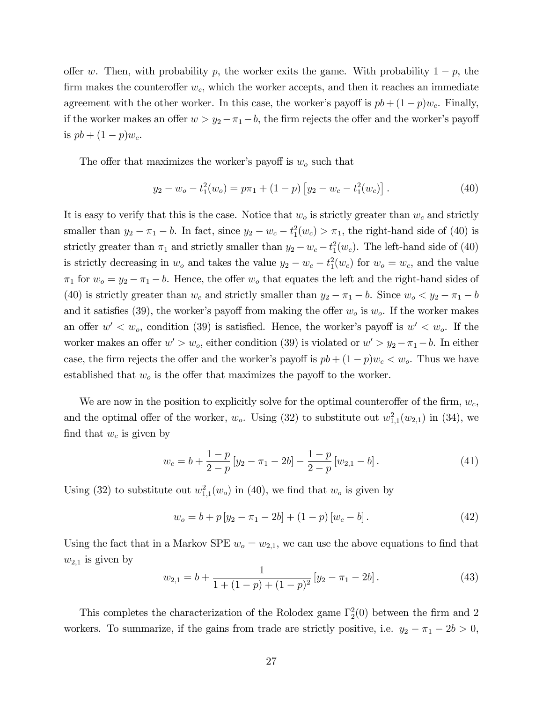offer w. Then, with probability p, the worker exits the game. With probability  $1 - p$ , the firm makes the counteroffer  $w_c$ , which the worker accepts, and then it reaches an immediate agreement with the other worker. In this case, the worker's payoff is  $pb + (1-p)w_c$ . Finally, if the worker makes an offer  $w > y_2 - \pi_1 - b$ , the firm rejects the offer and the worker's payoff is  $pb + (1 - p)w_c$ .

The offer that maximizes the worker's payoff is  $w<sub>o</sub>$  such that

$$
y_2 - w_o - t_1^2(w_o) = p\pi_1 + (1 - p) \left[ y_2 - w_c - t_1^2(w_c) \right]. \tag{40}
$$

It is easy to verify that this is the case. Notice that  $w<sub>o</sub>$  is strictly greater than  $w<sub>c</sub>$  and strictly smaller than  $y_2 - \pi_1 - b$ . In fact, since  $y_2 - w_c - t_1^2(w_c) > \pi_1$ , the right-hand side of (40) is strictly greater than  $\pi_1$  and strictly smaller than  $y_2 - w_c - t_1^2(w_c)$ . The left-hand side of (40) is strictly decreasing in  $w_o$  and takes the value  $y_2 - w_c - t_1^2(w_c)$  for  $w_o = w_c$ , and the value  $\pi_1$  for  $w_o = y_2 - \pi_1 - b$ . Hence, the offer  $w_o$  that equates the left and the right-hand sides of (40) is strictly greater than  $w_c$  and strictly smaller than  $y_2 - \pi_1 - b$ . Since  $w_o < y_2 - \pi_1 - b$ and it satisfies (39), the worker's payoff from making the offer  $w<sub>o</sub>$  is  $w<sub>o</sub>$ . If the worker makes an offer  $w' < w_o$ , condition (39) is satisfied. Hence, the worker's payoff is  $w' < w_o$ . If the worker makes an offer  $w' > w_o$ , either condition (39) is violated or  $w' > y_2 - \pi_1 - b$ . In either case, the firm rejects the offer and the worker's payoff is  $pb + (1-p)w_c < w_o$ . Thus we have established that  $w<sub>o</sub>$  is the offer that maximizes the payoff to the worker.

We are now in the position to explicitly solve for the optimal counteroffer of the firm,  $w_c$ , and the optimal offer of the worker,  $w_o$ . Using (32) to substitute out  $w_{1,1}^2(w_{2,1})$  in (34), we find that  $w_c$  is given by

$$
w_c = b + \frac{1-p}{2-p} [y_2 - \pi_1 - 2b] - \frac{1-p}{2-p} [w_{2,1} - b]. \tag{41}
$$

Using (32) to substitute out  $w_{1,1}^2(w_o)$  in (40), we find that  $w_o$  is given by

$$
w_o = b + p [y_2 - \pi_1 - 2b] + (1 - p) [w_c - b]. \tag{42}
$$

Using the fact that in a Markov SPE  $w_0 = w_{2,1}$ , we can use the above equations to find that  $w_{2,1}$  is given by

$$
w_{2,1} = b + \frac{1}{1 + (1 - p) + (1 - p)^2} \left[ y_2 - \pi_1 - 2b \right]. \tag{43}
$$

This completes the characterization of the Rolodex game  $\Gamma_2^2(0)$  between the firm and 2 workers. To summarize, if the gains from trade are strictly positive, i.e.  $y_2 - \pi_1 - 2b > 0$ ,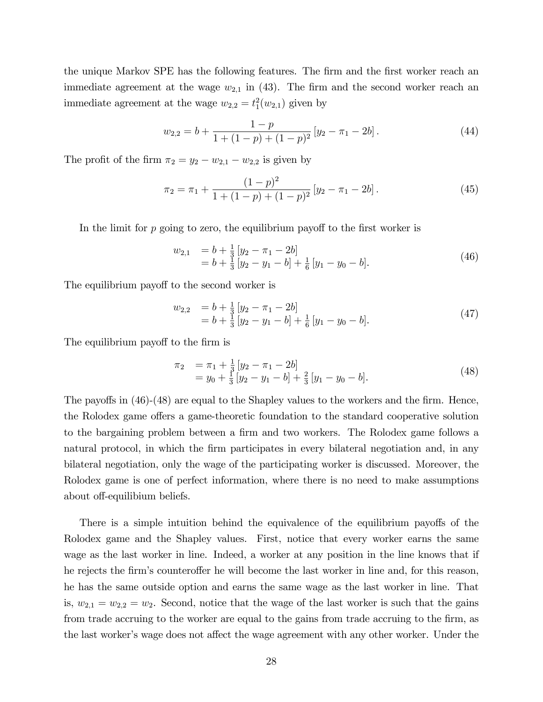the unique Markov SPE has the following features. The firm and the first worker reach an immediate agreement at the wage  $w_{2,1}$  in (43). The firm and the second worker reach an immediate agreement at the wage  $w_{2,2} = t_1^2(w_{2,1})$  given by

$$
w_{2,2} = b + \frac{1-p}{1 + (1-p) + (1-p)^2} [y_2 - \pi_1 - 2b]. \tag{44}
$$

The profit of the firm  $\pi_2 = y_2 - w_{2,1} - w_{2,2}$  is given by

$$
\pi_2 = \pi_1 + \frac{(1-p)^2}{1 + (1-p) + (1-p)^2} [y_2 - \pi_1 - 2b]. \tag{45}
$$

In the limit for  $p$  going to zero, the equilibrium payoff to the first worker is

$$
\begin{array}{ll}\nw_{2,1} & = b + \frac{1}{3} \left[ y_2 - \pi_1 - 2b \right] \\
& = b + \frac{1}{3} \left[ y_2 - y_1 - b \right] + \frac{1}{6} \left[ y_1 - y_0 - b \right].\n\end{array} \tag{46}
$$

The equilibrium payoff to the second worker is

$$
w_{2,2} = b + \frac{1}{3} [y_2 - \pi_1 - 2b] = b + \frac{1}{3} [y_2 - y_1 - b] + \frac{1}{6} [y_1 - y_0 - b].
$$
 (47)

The equilibrium payoff to the firm is

$$
\begin{array}{rcl}\n\pi_2 & = \pi_1 + \frac{1}{3} \left[ y_2 - \pi_1 - 2b \right] \\
& = y_0 + \frac{1}{3} \left[ y_2 - y_1 - b \right] + \frac{2}{3} \left[ y_1 - y_0 - b \right].\n\end{array} \tag{48}
$$

The payoffs in  $(46)-(48)$  are equal to the Shapley values to the workers and the firm. Hence, the Rolodex game offers a game-theoretic foundation to the standard cooperative solution to the bargaining problem between a firm and two workers. The Rolodex game follows a natural protocol, in which the firm participates in every bilateral negotiation and, in any bilateral negotiation, only the wage of the participating worker is discussed. Moreover, the Rolodex game is one of perfect information, where there is no need to make assumptions about off-equilibium beliefs.

There is a simple intuition behind the equivalence of the equilibrium payoffs of the Rolodex game and the Shapley values. First, notice that every worker earns the same wage as the last worker in line. Indeed, a worker at any position in the line knows that if he rejects the firm's counteroffer he will become the last worker in line and, for this reason, he has the same outside option and earns the same wage as the last worker in line. That is,  $w_{2,1} = w_{2,2} = w_2$ . Second, notice that the wage of the last worker is such that the gains from trade accruing to the worker are equal to the gains from trade accruing to the firm, as the last worker's wage does not affect the wage agreement with any other worker. Under the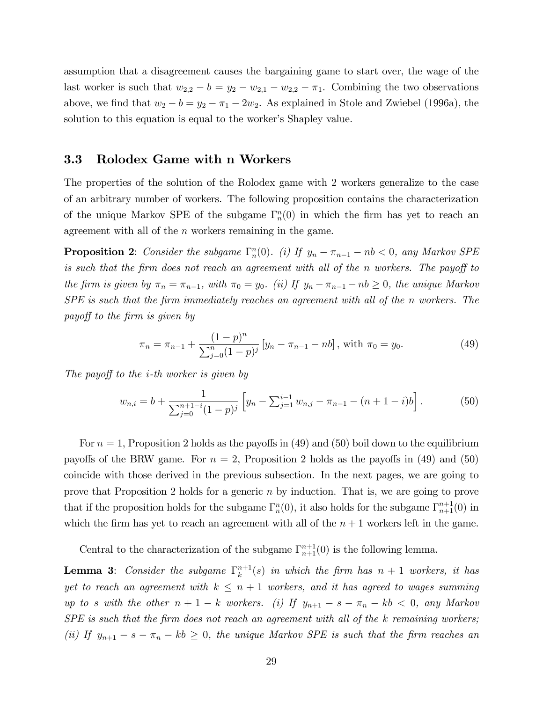assumption that a disagreement causes the bargaining game to start over, the wage of the last worker is such that  $w_{2,2} - b = y_2 - w_{2,1} - w_{2,2} - \pi_1$ . Combining the two observations above, we find that  $w_2 - b = y_2 - \pi_1 - 2w_2$ . As explained in Stole and Zwiebel (1996a), the solution to this equation is equal to the worker's Shapley value.

#### 3.3 Rolodex Game with n Workers

The properties of the solution of the Rolodex game with 2 workers generalize to the case of an arbitrary number of workers. The following proposition contains the characterization of the unique Markov SPE of the subgame  $\Gamma_n^n(0)$  in which the firm has yet to reach an agreement with all of the n workers remaining in the game.

**Proposition 2**: Consider the subgame  $\Gamma_n^n(0)$ . (i) If  $y_n - \pi_{n-1} - nb < 0$ , any Markov SPE is such that the firm does not reach an agreement with all of the  $n$  workers. The payoff to the firm is given by  $\pi_n = \pi_{n-1}$ , with  $\pi_0 = y_0$ . (ii) If  $y_n - \pi_{n-1} - nb \ge 0$ , the unique Markov  $SPE$  is such that the firm immediately reaches an agreement with all of the n workers. The payoff to the firm is given by

$$
\pi_n = \pi_{n-1} + \frac{(1-p)^n}{\sum_{j=0}^n (1-p)^j} \left[ y_n - \pi_{n-1} - nb \right], \text{ with } \pi_0 = y_0. \tag{49}
$$

The payoff to the  $i$ -th worker is given by

$$
w_{n,i} = b + \frac{1}{\sum_{j=0}^{n+1-i} (1-p)^j} \left[ y_n - \sum_{j=1}^{i-1} w_{n,j} - \pi_{n-1} - (n+1-i)b \right]. \tag{50}
$$

For  $n = 1$ , Proposition 2 holds as the payoffs in (49) and (50) boil down to the equilibrium payoffs of the BRW game. For  $n = 2$ , Proposition 2 holds as the payoffs in (49) and (50) coincide with those derived in the previous subsection. In the next pages, we are going to prove that Proposition 2 holds for a generic n by induction. That is, we are going to prove that if the proposition holds for the subgame  $\Gamma_n^n(0)$ , it also holds for the subgame  $\Gamma_{n+1}^{n+1}(0)$  in which the firm has yet to reach an agreement with all of the  $n + 1$  workers left in the game.

Central to the characterization of the subgame  $\Gamma_{n+1}^{n+1}(0)$  is the following lemma.

**Lemma 3:** Consider the subgame  $\Gamma_k^{n+1}$  $\binom{n+1}{k}(s)$  in which the firm has  $n+1$  workers, it has yet to reach an agreement with  $k \leq n + 1$  workers, and it has agreed to wages summing up to s with the other  $n + 1 - k$  workers. (i) If  $y_{n+1} - s - \pi_n - kb < 0$ , any Markov  $SPE$  is such that the firm does not reach an agreement with all of the k remaining workers; (ii) If  $y_{n+1} - s - \pi_n - kb \geq 0$ , the unique Markov SPE is such that the firm reaches an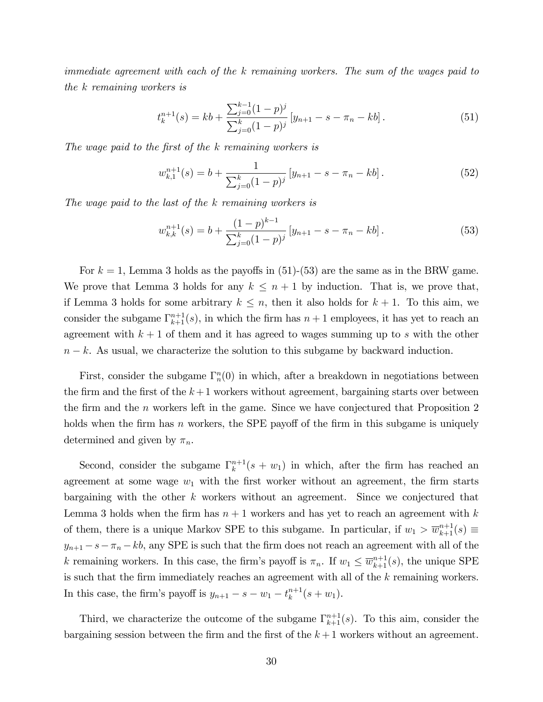immediate agreement with each of the k remaining workers. The sum of the wages paid to the k remaining workers is

$$
t_k^{n+1}(s) = kb + \frac{\sum_{j=0}^{k-1} (1-p)^j}{\sum_{j=0}^k (1-p)^j} \left[ y_{n+1} - s - \pi_n - kb \right]. \tag{51}
$$

The wage paid to the first of the k remaining workers is

$$
w_{k,1}^{n+1}(s) = b + \frac{1}{\sum_{j=0}^{k} (1-p)^j} \left[ y_{n+1} - s - \pi_n - kb \right]. \tag{52}
$$

The wage paid to the last of the k remaining workers is

$$
w_{k,k}^{n+1}(s) = b + \frac{(1-p)^{k-1}}{\sum_{j=0}^{k} (1-p)^j} \left[ y_{n+1} - s - \pi_n - kb \right].
$$
 (53)

For  $k = 1$ , Lemma 3 holds as the payoffs in (51)-(53) are the same as in the BRW game. We prove that Lemma 3 holds for any  $k \leq n + 1$  by induction. That is, we prove that, if Lemma 3 holds for some arbitrary  $k \leq n$ , then it also holds for  $k + 1$ . To this aim, we consider the subgame  $\Gamma_{k+1}^{n+1}(s)$ , in which the firm has  $n+1$  employees, it has yet to reach an agreement with  $k+1$  of them and it has agreed to wages summing up to s with the other  $n - k$ . As usual, we characterize the solution to this subgame by backward induction.

First, consider the subgame  $\Gamma_n^n(0)$  in which, after a breakdown in negotiations between the firm and the first of the  $k+1$  workers without agreement, bargaining starts over between the firm and the  $n$  workers left in the game. Since we have conjectured that Proposition 2 holds when the firm has n workers, the SPE payoff of the firm in this subgame is uniquely determined and given by  $\pi_n$ .

Second, consider the subgame  $\Gamma_k^{n+1}$  $\binom{n+1}{k}(s+w_1)$  in which, after the firm has reached an agreement at some wage  $w_1$  with the first worker without an agreement, the firm starts bargaining with the other k workers without an agreement. Since we conjectured that Lemma 3 holds when the firm has  $n + 1$  workers and has yet to reach an agreement with k of them, there is a unique Markov SPE to this subgame. In particular, if  $w_1 > \overline{w}_{k+1}^{n+1}(s) \equiv$  $y_{n+1} - s - \pi_n - kb$ , any SPE is such that the firm does not reach an agreement with all of the k remaining workers. In this case, the firm's payoff is  $\pi_n$ . If  $w_1 \leq \overline{w}_{k+1}^{n+1}(s)$ , the unique SPE is such that the firm immediately reaches an agreement with all of the k remaining workers. In this case, the firm's payoff is  $y_{n+1} - s - w_1 - t_k^{n+1}$  $_{k}^{n+1}(s+w_{1}).$ 

Third, we characterize the outcome of the subgame  $\Gamma_{k+1}^{n+1}(s)$ . To this aim, consider the bargaining session between the firm and the first of the  $k + 1$  workers without an agreement.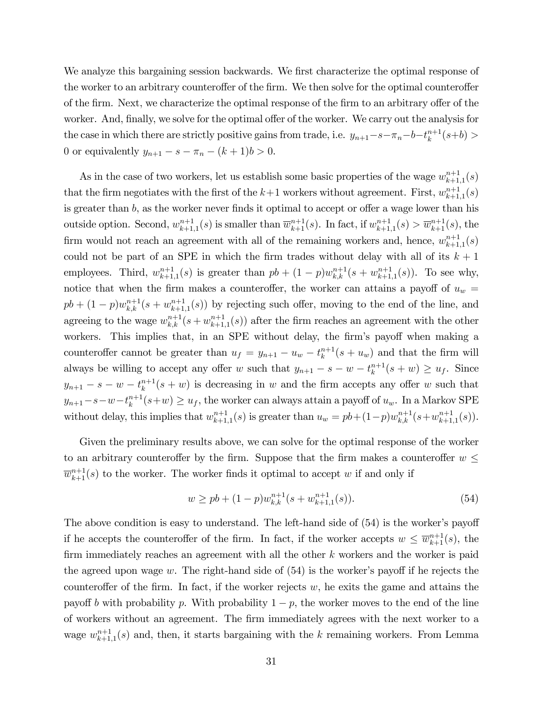We analyze this bargaining session backwards. We first characterize the optimal response of the worker to an arbitrary counteroffer of the firm. We then solve for the optimal counteroffer of the firm. Next, we characterize the optimal response of the firm to an arbitrary offer of the worker. And, finally, we solve for the optimal offer of the worker. We carry out the analysis for the case in which there are strictly positive gains from trade, i.e.  $y_{n+1}-s-\pi_n-b-t_k^{n+1}$  $_{k}^{n+1}(s+b) >$ 0 or equivalently  $y_{n+1} - s - \pi_n - (k+1)b > 0$ .

As in the case of two workers, let us establish some basic properties of the wage  $w_{k+1}^{n+1}$  $_{k+1,1}^{n+1}(s)$ that the firm negotiates with the first of the  $k+1$  workers without agreement. First,  $w_{k+1}^{n+1}$  $_{k+1,1}^{n+1}(s)$ is greater than  $b$ , as the worker never finds it optimal to accept or offer a wage lower than his outside option. Second,  $w_{k+1}^{n+1}$  $_{k+1,1}^{n+1}(s)$  is smaller than  $\overline{w}_{k+1}^{n+1}(s)$ . In fact, if  $w_{k+1}^{n+1}$  $\overline{w}_{k+1,1}^{n+1}(s) > \overline{w}_{k+1}^{n+1}(s)$ , the firm would not reach an agreement with all of the remaining workers and, hence,  $w_{k+1}^{n+1}$  $_{k+1,1}^{n+1}(s)$ could not be part of an SPE in which the firm trades without delay with all of its  $k + 1$ employees. Third,  $w_{k+1}^{n+1}$  $_{k+1,1}^{n+1}(s)$  is greater than  $pb + (1-p)w_{k,k}^{n+1}(s+w_{k+1}^{n+1})$  $_{k+1,1}^{n+1}(s)$ . To see why, notice that when the firm makes a counteroffer, the worker can attains a payoff of  $u_w$  =  $pb + (1-p)w_{k,k}^{n+1}(s+w_{k+1}^{n+1})$  $_{k+1,1}^{n+1}(s)$  by rejecting such offer, moving to the end of the line, and agreeing to the wage  $w_{k,k}^{n+1}(s+w_{k+1}^{n+1})$  $_{k+1,1}^{n+1}(s)$  after the firm reaches an agreement with the other workers. This implies that, in an SPE without delay, the firm's payoff when making a counteroffer cannot be greater than  $u_f = y_{n+1} - u_w - t_k^{n+1}$  $\binom{n+1}{k}(s+u_w)$  and that the firm will always be willing to accept any offer w such that  $y_{n+1} - s - w - t_k^{n+1}$  $_{k}^{n+1}(s+w) \geq u_f$ . Since  $y_{n+1} - s - w - t_k^{n+1}$  $\binom{n+1}{k}(s+w)$  is decreasing in w and the firm accepts any offer w such that  $y_{n+1} - s - w - t_k^{n+1}$  $u_k^{n+1}(s+w) \geq u_f$ , the worker can always attain a payoff of  $u_w$ . In a Markov SPE without delay, this implies that  $w_{k+1}^{n+1}$  $_{k+1,1}^{n+1}(s)$  is greater than  $u_w = pb + (1-p)w_{k,k}^{n+1}(s+w_{k+1}^{n+1})$  $_{k+1,1}^{n+1}(s)$ ).

Given the preliminary results above, we can solve for the optimal response of the worker to an arbitrary counteroffer by the firm. Suppose that the firm makes a counteroffer  $w \leq$  $\overline{w}_{k+1}^{n+1}(s)$  to the worker. The worker finds it optimal to accept w if and only if

$$
w \ge pb + (1 - p)w_{k,k}^{n+1}(s + w_{k+1,1}^{n+1}(s)).
$$
\n(54)

The above condition is easy to understand. The left-hand side of  $(54)$  is the worker's payoff if he accepts the counteroffer of the firm. In fact, if the worker accepts  $w \leq \overline{w}_{k+1}^{n+1}(s)$ , the firm immediately reaches an agreement with all the other  $k$  workers and the worker is paid the agreed upon wage w. The right-hand side of  $(54)$  is the worker's payoff if he rejects the counteroffer of the firm. In fact, if the worker rejects  $w$ , he exits the game and attains the payoff b with probability p. With probability  $1 - p$ , the worker moves to the end of the line of workers without an agreement. The Örm immediately agrees with the next worker to a wage  $w_{k+1}^{n+1}$  $k+1, 1, 1$  (s) and, then, it starts bargaining with the k remaining workers. From Lemma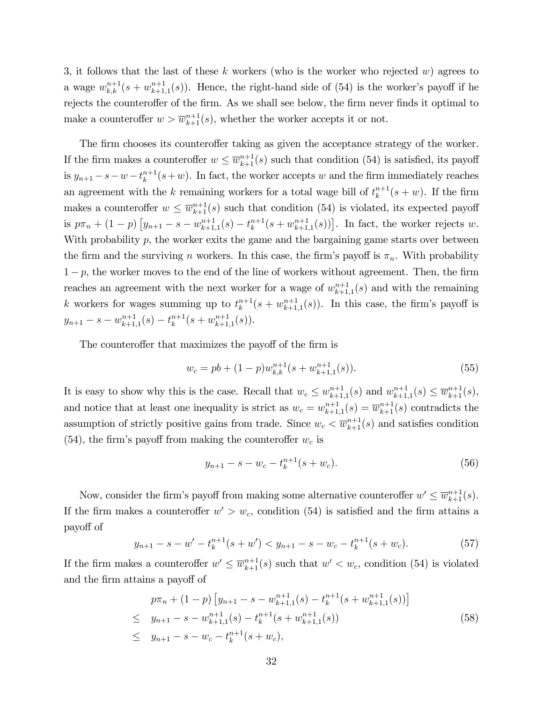3, it follows that the last of these k workers (who is the worker who rejected  $w$ ) agrees to a wage  $w_{k,k}^{n+1}(s + w_{k+1}^{n+1})$  ${}_{k+1,1}^{n+1}(s)$ . Hence, the right-hand side of (54) is the worker's payoff if he rejects the counteroffer of the firm. As we shall see below, the firm never finds it optimal to make a counteroffer  $w > \overline{w}_{k+1}^{n+1}(s)$ , whether the worker accepts it or not.

The firm chooses its counteroffer taking as given the acceptance strategy of the worker. If the firm makes a counteroffer  $w \leq \overline{w}_{k+1}^{n+1}(s)$  such that condition (54) is satisfied, its payoff is  $y_{n+1} - s - w - t_k^{n+1}$  $\binom{n+1}{k}(s+w)$ . In fact, the worker accepts w and the firm immediately reaches an agreement with the k remaining workers for a total wage bill of  $t_k^{n+1}$  $\binom{n+1}{k}(s+w)$ . If the firm makes a counteroffer  $w \leq \overline{w}_{k+1}^{n+1}(s)$  such that condition (54) is violated, its expected payoff is  $p\pi_n + (1-p) \left[ y_{n+1} - s - w_{k+1}^{n+1} \right]$  $_{k+1,1}^{n+1}(s) - t_k^{n+1}$  $_{k}^{n+1}(s+w_{k+1}^{n+1})$  $_{k+1,1}^{n+1}(s)$ ]. In fact, the worker rejects w. With probability  $p$ , the worker exits the game and the bargaining game starts over between the firm and the surviving n workers. In this case, the firm's payoff is  $\pi_n$ . With probability  $1-p$ , the worker moves to the end of the line of workers without agreement. Then, the firm reaches an agreement with the next worker for a wage of  $w_{k+1}^{n+1}$  $_{k+1,1}^{n+1}(s)$  and with the remaining k workers for wages summing up to  $t_k^{n+1}$  $_{k}^{n+1}(s+w_{k+1}^{n+1})$  $\lim_{k+1,1}(s)$ . In this case, the firm's payoff is  $y_{n+1} - s - w_{k+1}^{n+1}$  $\binom{n+1}{k+1,1}(s) - t^{n+1}_k$  $_{k}^{n+1}(s+w_{k+1}^{n+1})$  $_{k+1,1}^{n+1}(s)).$ 

The counteroffer that maximizes the payoff of the firm is

$$
w_c = pb + (1 - p)w_{k,k}^{n+1}(s + w_{k+1,1}^{n+1}(s)).
$$
\n(55)

It is easy to show why this is the case. Recall that  $w_c \leq w_{k+1}^{n+1}$  $_{k+1,1}^{n+1}(s)$  and  $w_{k+1}^{n+1}$  $_{k+1,1}^{n+1}(s) \leq \overline{w}_{k+1}^{n+1}(s),$ and notice that at least one inequality is strict as  $w_c = w_{k+1}^{n+1}$  $\overline{w}_{k+1,1}^{n+1}(s) = \overline{w}_{k+1}^{n+1}(s)$  contradicts the assumption of strictly positive gains from trade. Since  $w_c < \overline{w}_{k+1}^{n+1}(s)$  and satisfies condition (54), the firm's payoff from making the counteroffer  $w_c$  is

$$
y_{n+1} - s - w_c - t_k^{n+1}(s + w_c). \tag{56}
$$

Now, consider the firm's payoff from making some alternative counteroffer  $w' \leq \overline{w}_{k+1}^{n+1}(s)$ . If the firm makes a counteroffer  $w' > w_c$ , condition (54) is satisfied and the firm attains a payo§ of

$$
y_{n+1} - s - w' - t_k^{n+1}(s + w') < y_{n+1} - s - w_c - t_k^{n+1}(s + w_c). \tag{57}
$$

If the firm makes a counteroffer  $w' \leq \overline{w}_{k+1}^{n+1}(s)$  such that  $w' < w_c$ , condition (54) is violated and the firm attains a payoff of

$$
p\pi_n + (1-p) \left[ y_{n+1} - s - w_{k+1,1}^{n+1}(s) - t_k^{n+1}(s + w_{k+1,1}^{n+1}(s)) \right]
$$
  
\n
$$
\leq y_{n+1} - s - w_{k+1,1}^{n+1}(s) - t_k^{n+1}(s + w_{k+1,1}^{n+1}(s))
$$
  
\n
$$
\leq y_{n+1} - s - w_c - t_k^{n+1}(s + w_c),
$$
\n(58)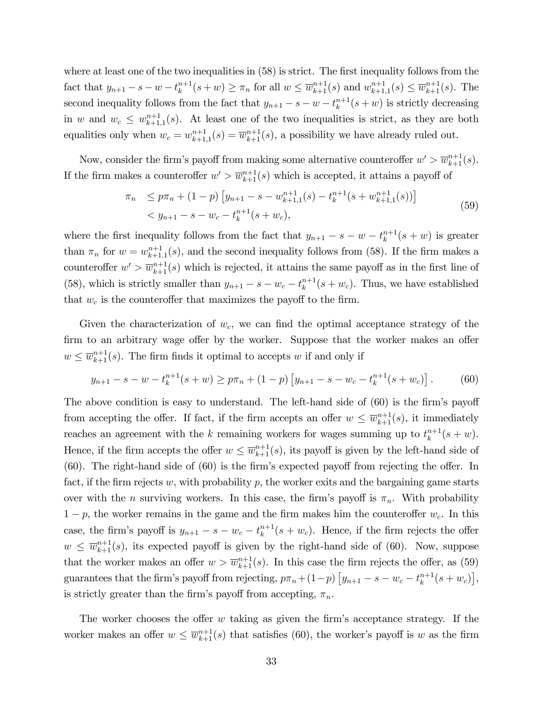where at least one of the two inequalities in  $(58)$  is strict. The first inequality follows from the fact that  $y_{n+1} - s - w - t_k^{n+1}$  $\sum_{k=1}^{n+1}(s+w) \geq \pi_n$  for all  $w \leq \overline{w}_{k+1}^{n+1}(s)$  and  $w_{k+1}^{n+1}$  $_{k+1,1}^{n+1}(s) \leq \overline{w}_{k+1}^{n+1}(s)$ . The second inequality follows from the fact that  $y_{n+1} - s - w - t_k^{n+1}$  $\binom{n+1}{k}(s+w)$  is strictly decreasing in w and  $w_c \leq w_{k+1}^{n+1}$  $_{k+1,1}^{n+1}(s)$ . At least one of the two inequalities is strict, as they are both equalities only when  $w_c = w_{k+1}^{n+1}$  $\overline{w}_{k+1,1}^{n+1}(s) = \overline{w}_{k+1}^{n+1}(s)$ , a possibility we have already ruled out.

Now, consider the firm's payoff from making some alternative counteroffer  $w' > \overline{w}_{k+1}^{n+1}(s)$ . If the firm makes a counteroffer  $w' > \overline{w}_{k+1}^{n+1}(s)$  which is accepted, it attains a payoff of

$$
\pi_n \le p\pi_n + (1-p) \left[ y_{n+1} - s - w_{k+1,1}^{n+1}(s) - t_k^{n+1}(s + w_{k+1,1}^{n+1}(s)) \right]
$$
  

$$
< y_{n+1} - s - w_c - t_k^{n+1}(s + w_c),
$$
 (59)

where the first inequality follows from the fact that  $y_{n+1} - s - w - t_k^{n+1}$  $\binom{n+1}{k}(s+w)$  is greater than  $\pi_n$  for  $w = w_{k+1}^{n+1}$  ${}_{k+1,1}^{n+1}(s)$ , and the second inequality follows from (58). If the firm makes a counteroffer  $w' > \overline{w}_{k+1}^{n+1}(s)$  which is rejected, it attains the same payoff as in the first line of (58), which is strictly smaller than  $y_{n+1} - s - w_c - t_k^{n+1}$  $\binom{n+1}{k}(s+w_c)$ . Thus, we have established that  $w_c$  is the counteroffer that maximizes the payoff to the firm.

Given the characterization of  $w_c$ , we can find the optimal acceptance strategy of the firm to an arbitrary wage offer by the worker. Suppose that the worker makes an offer  $w \leq \overline{w}_{k+1}^{n+1}(s)$ . The firm finds it optimal to accepts w if and only if

$$
y_{n+1} - s - w - t_k^{n+1}(s+w) \ge p\pi_n + (1-p) \left[ y_{n+1} - s - w_c - t_k^{n+1}(s+w_c) \right].
$$
 (60)

The above condition is easy to understand. The left-hand side of  $(60)$  is the firm's payoff from accepting the offer. If fact, if the firm accepts an offer  $w \leq \overline{w}_{k+1}^{n+1}(s)$ , it immediately reaches an agreement with the k remaining workers for wages summing up to  $t_k^{n+1}$  $_{k}^{n+1}(s+w).$ Hence, if the firm accepts the offer  $w \leq \overline{w}_{k+1}^{n+1}(s)$ , its payoff is given by the left-hand side of  $(60)$ . The right-hand side of  $(60)$  is the firm's expected payoff from rejecting the offer. In fact, if the firm rejects w, with probability  $p$ , the worker exits and the bargaining game starts over with the *n* surviving workers. In this case, the firm's payoff is  $\pi_n$ . With probability  $1 - p$ , the worker remains in the game and the firm makes him the counteroffer  $w_c$ . In this case, the firm's payoff is  $y_{n+1} - s - w_c - t_k^{n+1}$  $\binom{n+1}{k}(s+w_c)$ . Hence, if the firm rejects the offer  $w \leq \overline{w}_{k+1}^{n+1}(s)$ , its expected payoff is given by the right-hand side of (60). Now, suppose that the worker makes an offer  $w > \overline{w}_{k+1}^{n+1}(s)$ . In this case the firm rejects the offer, as (59) guarantees that the firm's payoff from rejecting,  $p\pi_n + (1-p) \left[ y_{n+1} - s - w_c - t_k^{n+1} \right]$  $_{k}^{n+1}(s+w_{c})\big],$ is strictly greater than the firm's payoff from accepting,  $\pi_n$ .

The worker chooses the offer  $w$  taking as given the firm's acceptance strategy. If the worker makes an offer  $w \leq \overline{w}_{k+1}^{n+1}(s)$  that satisfies (60), the worker's payoff is w as the firm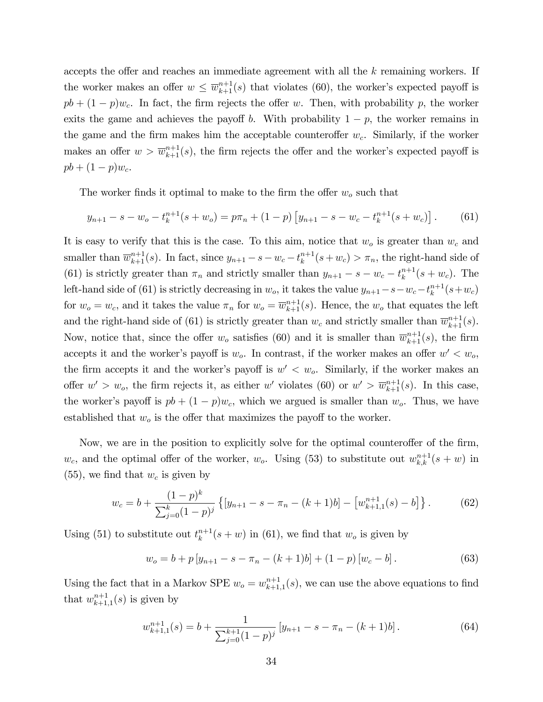accepts the offer and reaches an immediate agreement with all the  $k$  remaining workers. If the worker makes an offer  $w \leq \overline{w}_{k+1}^{n+1}(s)$  that violates (60), the worker's expected payoff is  $pb + (1-p)w_c$ . In fact, the firm rejects the offer w. Then, with probability p, the worker exits the game and achieves the payoff b. With probability  $1 - p$ , the worker remains in the game and the firm makes him the acceptable counteroffer  $w_c$ . Similarly, if the worker makes an offer  $w > \overline{w}_{k+1}^{n+1}(s)$ , the firm rejects the offer and the worker's expected payoff is  $pb + (1-p)w_c.$ 

The worker finds it optimal to make to the firm the offer  $w<sub>o</sub>$  such that

$$
y_{n+1} - s - w_o - t_k^{n+1}(s + w_o) = p\pi_n + (1 - p) \left[ y_{n+1} - s - w_c - t_k^{n+1}(s + w_c) \right].
$$
 (61)

It is easy to verify that this is the case. To this aim, notice that  $w<sub>o</sub>$  is greater than  $w<sub>c</sub>$  and smaller than  $\overline{w}_{k+1}^{n+1}(s)$ . In fact, since  $y_{n+1} - s - w_c - t_k^{n+1}$  $\binom{n+1}{k}(s+w_c) > \pi_n$ , the right-hand side of (61) is strictly greater than  $\pi_n$  and strictly smaller than  $y_{n+1} - s - w_c - t_k^{n+1}$  $_{k}^{n+1}(s+w_c)$ . The left-hand side of (61) is strictly decreasing in  $w_o$ , it takes the value  $y_{n+1}-s-w_c-t_k^{n+1}$  $_{k}^{n+1}(s+w_{c})$ for  $w_o = w_c$ , and it takes the value  $\pi_n$  for  $w_o = \overline{w}_{k+1}^{n+1}(s)$ . Hence, the  $w_o$  that equates the left and the right-hand side of (61) is strictly greater than  $w_c$  and strictly smaller than  $\overline{w}_{k+1}^{n+1}(s)$ . Now, notice that, since the offer  $w_o$  satisfies (60) and it is smaller than  $\overline{w}_{k+1}^{n+1}(s)$ , the firm accepts it and the worker's payoff is  $w_o$ . In contrast, if the worker makes an offer  $w' < w_o$ , the firm accepts it and the worker's payoff is  $w' < w_o$ . Similarly, if the worker makes an offer  $w' > w_o$ , the firm rejects it, as either w' violates (60) or  $w' > \overline{w}_{k+1}^{n+1}(s)$ . In this case, the worker's payoff is  $pb + (1-p)w_c$ , which we argued is smaller than  $w_o$ . Thus, we have established that  $w<sub>o</sub>$  is the offer that maximizes the payoff to the worker.

Now, we are in the position to explicitly solve for the optimal counteroffer of the firm,  $w_c$ , and the optimal offer of the worker,  $w_o$ . Using (53) to substitute out  $w_{k,k}^{n+1}(s + w)$  in  $(55)$ , we find that  $w_c$  is given by

$$
w_c = b + \frac{(1-p)^k}{\sum_{j=0}^k (1-p)^j} \left\{ [y_{n+1} - s - \pi_n - (k+1)b] - [w_{k+1,1}^{n+1}(s) - b] \right\}.
$$
 (62)

Using (51) to substitute out  $t_k^{n+1}$  $\binom{n+1}{k}(s+w)$  in (61), we find that  $w_o$  is given by

$$
w_o = b + p \left[ y_{n+1} - s - \pi_n - (k+1)b \right] + (1-p) \left[ w_c - b \right]. \tag{63}
$$

Using the fact that in a Markov SPE  $w_o = w_{k+1}^{n+1}$  $_{k+1,1}^{n+1}(s)$ , we can use the above equations to find that  $w_{k+1}^{n+1}$  $_{k+1,1}^{n+1}(s)$  is given by

$$
w_{k+1,1}^{n+1}(s) = b + \frac{1}{\sum_{j=0}^{k+1} (1-p)^j} \left[ y_{n+1} - s - \pi_n - (k+1)b \right]. \tag{64}
$$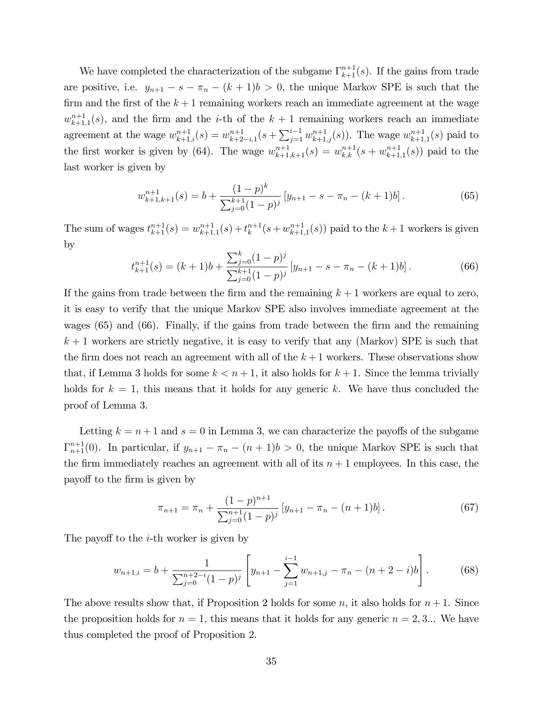We have completed the characterization of the subgame  $\Gamma_{k+1}^{n+1}(s)$ . If the gains from trade are positive, i.e.  $y_{n+1} - s - \pi_n - (k+1)b > 0$ , the unique Markov SPE is such that the firm and the first of the  $k + 1$  remaining workers reach an immediate agreement at the wage  $w_{k+1}^{n+1}$  $k+1, 1, 1, 1$  (s), and the firm and the *i*-th of the  $k+1$  remaining workers reach an immediate agreement at the wage  $w_{k+1,i}^{n+1}(s) = w_{k+2}^{n+1}$  $_{k+2-i,1}^{n+1}(s+\sum_{j=1}^{i-1}w_{k+1,j}^{n+1}(s)).$  The wage  $w_{k+1,i}^{n+1}$  $_{k+1,1}^{n+1}(s)$  paid to the first worker is given by (64). The wage  $w_{k+1,k+1}^{n+1}(s) = w_{k,k}^{n+1}(s + w_{k+1}^{n+1})$  $_{k+1,1}^{n+1}(s)$  paid to the last worker is given by

$$
w_{k+1,k+1}^{n+1}(s) = b + \frac{(1-p)^k}{\sum_{j=0}^{k+1} (1-p)^j} \left[ y_{n+1} - s - \pi_n - (k+1)b \right]. \tag{65}
$$

The sum of wages  $t_{k+1}^{n+1}(s) = w_{k+1}^{n+1}$  $_{k+1,1}^{n+1}(s) + t_k^{n+1}$  $_{k}^{n+1}(s+w_{k+1}^{n+1})$  $_{k+1,1}^{n+1}(s)$  paid to the  $k+1$  workers is given by

$$
t_{k+1}^{n+1}(s) = (k+1)b + \frac{\sum_{j=0}^{k} (1-p)^j}{\sum_{j=0}^{k+1} (1-p)^j} \left[ y_{n+1} - s - \pi_n - (k+1)b \right]. \tag{66}
$$

If the gains from trade between the firm and the remaining  $k + 1$  workers are equal to zero, it is easy to verify that the unique Markov SPE also involves immediate agreement at the wages  $(65)$  and  $(66)$ . Finally, if the gains from trade between the firm and the remaining  $k + 1$  workers are strictly negative, it is easy to verify that any (Markov) SPE is such that the firm does not reach an agreement with all of the  $k+1$  workers. These observations show that, if Lemma 3 holds for some  $k < n+1$ , it also holds for  $k+1$ . Since the lemma trivially holds for  $k = 1$ , this means that it holds for any generic k. We have thus concluded the proof of Lemma 3.

Letting  $k = n + 1$  and  $s = 0$  in Lemma 3, we can characterize the payoffs of the subgame  $\Gamma_{n+1}^{n+1}(0)$ . In particular, if  $y_{n+1} - \pi_n - (n+1)b > 0$ , the unique Markov SPE is such that the firm immediately reaches an agreement with all of its  $n + 1$  employees. In this case, the payo§ to the Örm is given by

$$
\pi_{n+1} = \pi_n + \frac{(1-p)^{n+1}}{\sum_{j=0}^{n+1} (1-p)^j} \left[ y_{n+1} - \pi_n - (n+1)b \right]. \tag{67}
$$

The payoff to the  $i$ -th worker is given by

$$
w_{n+1,i} = b + \frac{1}{\sum_{j=0}^{n+2-i} (1-p)^j} \left[ y_{n+1} - \sum_{j=1}^{i-1} w_{n+1,j} - \pi_n - (n+2-i)b \right]. \tag{68}
$$

The above results show that, if Proposition 2 holds for some n, it also holds for  $n+1$ . Since the proposition holds for  $n = 1$ , this means that it holds for any generic  $n = 2, 3...$  We have thus completed the proof of Proposition 2.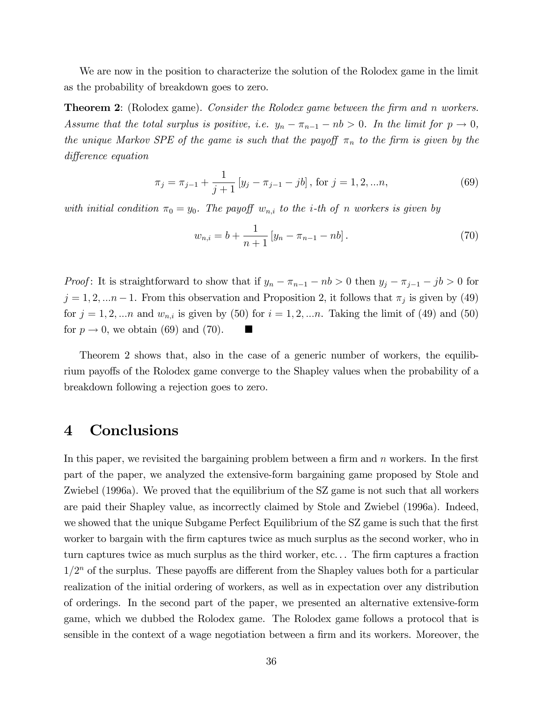We are now in the position to characterize the solution of the Rolodex game in the limit as the probability of breakdown goes to zero.

**Theorem 2:** (Rolodex game). Consider the Rolodex game between the firm and n workers. Assume that the total surplus is positive, i.e.  $y_n - \pi_{n-1} - nb > 0$ . In the limit for  $p \to 0$ , the unique Markov SPE of the game is such that the payoff  $\pi_n$  to the firm is given by the difference equation

$$
\pi_j = \pi_{j-1} + \frac{1}{j+1} \left[ y_j - \pi_{j-1} - jb \right], \text{ for } j = 1, 2, \dots n,
$$
\n(69)

with initial condition  $\pi_0 = y_0$ . The payoff  $w_{n,i}$  to the *i*-th of n workers is given by

$$
w_{n,i} = b + \frac{1}{n+1} \left[ y_n - \pi_{n-1} - nb \right]. \tag{70}
$$

*Proof*: It is straightforward to show that if  $y_n - \pi_{n-1} - nb > 0$  then  $y_j - \pi_{j-1} - jb > 0$  for  $j = 1, 2, \dots n-1$ . From this observation and Proposition 2, it follows that  $\pi_j$  is given by (49) for  $j = 1, 2, \ldots n$  and  $w_{n,i}$  is given by (50) for  $i = 1, 2, \ldots n$ . Taking the limit of (49) and (50) for  $p \rightarrow 0$ , we obtain (69) and (70).

Theorem 2 shows that, also in the case of a generic number of workers, the equilibrium payoffs of the Rolodex game converge to the Shapley values when the probability of a breakdown following a rejection goes to zero.

### 4 Conclusions

In this paper, we revisited the bargaining problem between a firm and  $n$  workers. In the first part of the paper, we analyzed the extensive-form bargaining game proposed by Stole and Zwiebel (1996a). We proved that the equilibrium of the SZ game is not such that all workers are paid their Shapley value, as incorrectly claimed by Stole and Zwiebel (1996a). Indeed, we showed that the unique Subgame Perfect Equilibrium of the SZ game is such that the first worker to bargain with the firm captures twice as much surplus as the second worker, who in turn captures twice as much surplus as the third worker, etc... The firm captures a fraction  $1/2<sup>n</sup>$  of the surplus. These payoffs are different from the Shapley values both for a particular realization of the initial ordering of workers, as well as in expectation over any distribution of orderings. In the second part of the paper, we presented an alternative extensive-form game, which we dubbed the Rolodex game. The Rolodex game follows a protocol that is sensible in the context of a wage negotiation between a firm and its workers. Moreover, the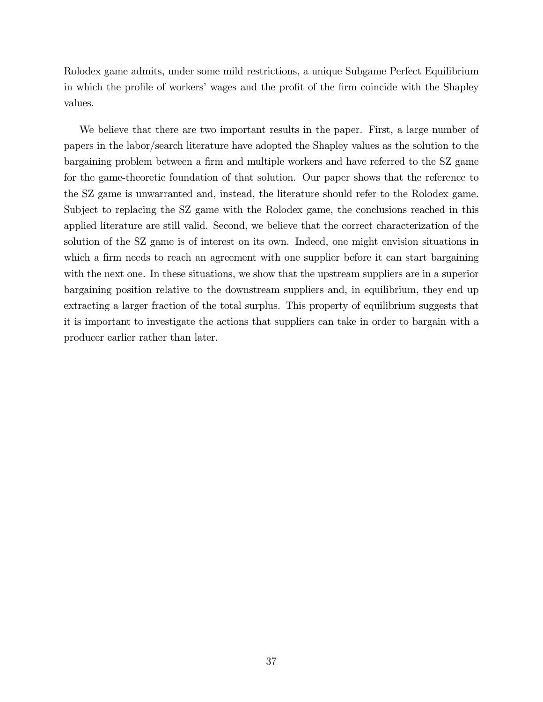Rolodex game admits, under some mild restrictions, a unique Subgame Perfect Equilibrium in which the profile of workers' wages and the profit of the firm coincide with the Shapley values.

We believe that there are two important results in the paper. First, a large number of papers in the labor/search literature have adopted the Shapley values as the solution to the bargaining problem between a firm and multiple workers and have referred to the SZ game for the game-theoretic foundation of that solution. Our paper shows that the reference to the SZ game is unwarranted and, instead, the literature should refer to the Rolodex game. Subject to replacing the SZ game with the Rolodex game, the conclusions reached in this applied literature are still valid. Second, we believe that the correct characterization of the solution of the SZ game is of interest on its own. Indeed, one might envision situations in which a firm needs to reach an agreement with one supplier before it can start bargaining with the next one. In these situations, we show that the upstream suppliers are in a superior bargaining position relative to the downstream suppliers and, in equilibrium, they end up extracting a larger fraction of the total surplus. This property of equilibrium suggests that it is important to investigate the actions that suppliers can take in order to bargain with a producer earlier rather than later.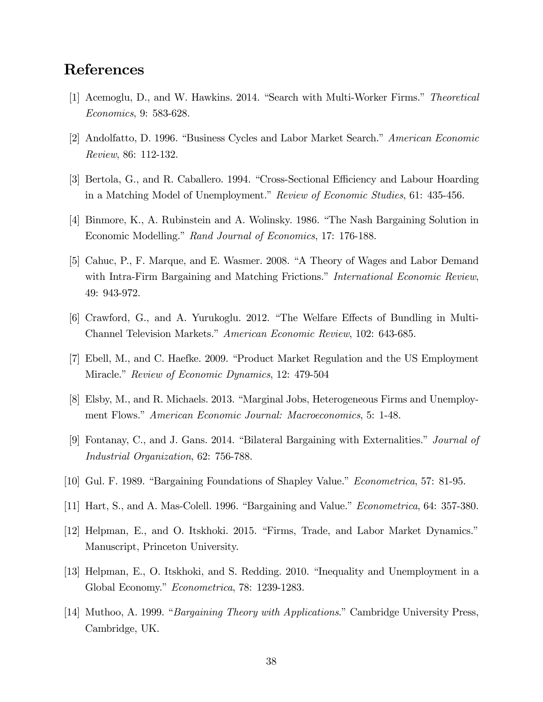## References

- [1] Acemoglu, D., and W. Hawkins. 2014. "Search with Multi-Worker Firms." Theoretical Economics, 9: 583-628.
- [2] Andolfatto, D. 1996. "Business Cycles and Labor Market Search." American Economic Review, 86: 112-132.
- [3] Bertola, G., and R. Caballero. 1994. "Cross-Sectional Efficiency and Labour Hoarding in a Matching Model of Unemployment." Review of Economic Studies, 61: 435-456.
- [4] Binmore, K., A. Rubinstein and A. Wolinsky. 1986. "The Nash Bargaining Solution in Economic Modelling." Rand Journal of Economics, 17: 176-188.
- [5] Cahuc, P., F. Marque, and E. Wasmer. 2008. "A Theory of Wages and Labor Demand with Intra-Firm Bargaining and Matching Frictions." *International Economic Review*, 49: 943-972.
- [6] Crawford, G., and A. Yurukoglu. 2012. "The Welfare Effects of Bundling in Multi-Channel Television Markets." American Economic Review, 102: 643-685.
- [7] Ebell, M., and C. Haefke. 2009. "Product Market Regulation and the US Employment Miracle." Review of Economic Dynamics, 12: 479-504
- [8] Elsby, M., and R. Michaels. 2013. "Marginal Jobs, Heterogeneous Firms and Unemployment Flows." *American Economic Journal: Macroeconomics*, 5: 1-48.
- [9] Fontanay, C., and J. Gans. 2014. "Bilateral Bargaining with Externalities." Journal of Industrial Organization, 62: 756-788.
- [10] Gul. F. 1989. "Bargaining Foundations of Shapley Value." *Econometrica*, 57: 81-95.
- [11] Hart, S., and A. Mas-Colell. 1996. "Bargaining and Value." *Econometrica*, 64: 357-380.
- [12] Helpman, E., and O. Itskhoki. 2015. "Firms, Trade, and Labor Market Dynamics." Manuscript, Princeton University.
- [13] Helpman, E., O. Itskhoki, and S. Redding. 2010. "Inequality and Unemployment in a Global Economy." Econometrica, 78: 1239-1283.
- [14] Muthoo, A. 1999. *"Bargaining Theory with Applications.*" Cambridge University Press, Cambridge, UK.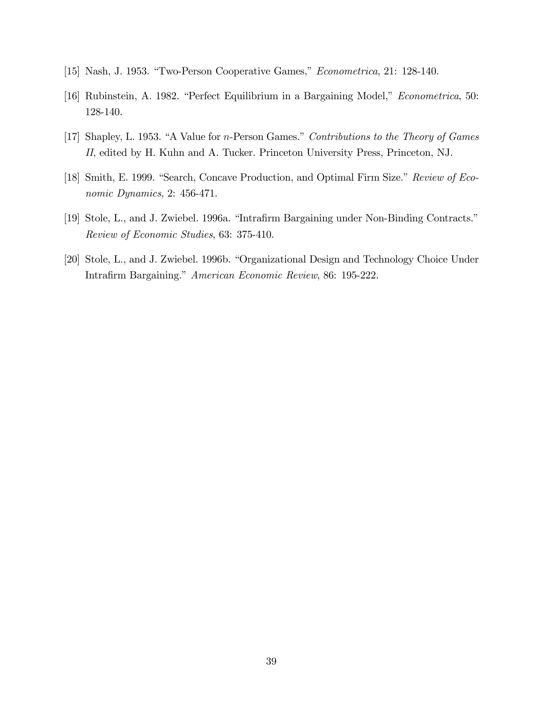- [15] Nash, J. 1953. "Two-Person Cooperative Games," Econometrica, 21: 128-140.
- [16] Rubinstein, A. 1982. "Perfect Equilibrium in a Bargaining Model," *Econometrica*, 50: 128-140.
- [17] Shapley, L. 1953. "A Value for *n*-Person Games." Contributions to the Theory of Games II, edited by H. Kuhn and A. Tucker. Princeton University Press, Princeton, NJ.
- [18] Smith, E. 1999. "Search, Concave Production, and Optimal Firm Size." Review of Economic Dynamics, 2: 456-471.
- [19] Stole, L., and J. Zwiebel. 1996a. "Intrafirm Bargaining under Non-Binding Contracts." Review of Economic Studies, 63: 375-410.
- [20] Stole, L., and J. Zwiebel. 1996b. "Organizational Design and Technology Choice Under Intrafirm Bargaining." American Economic Review, 86: 195-222.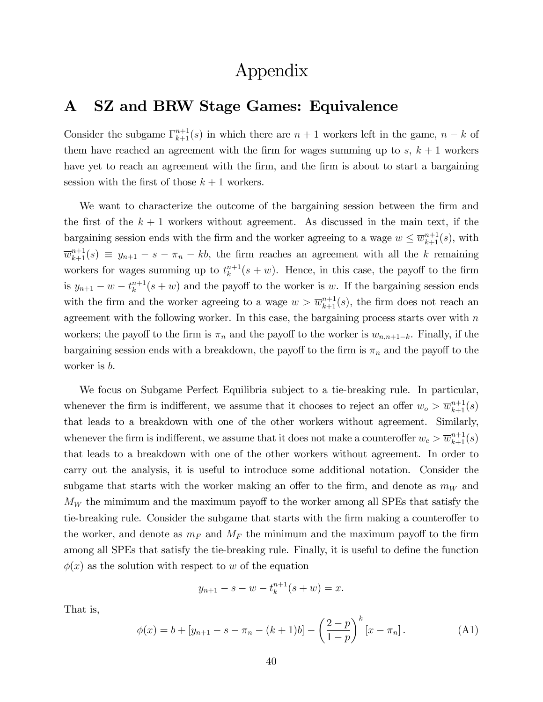## Appendix

## A SZ and BRW Stage Games: Equivalence

Consider the subgame  $\Gamma_{k+1}^{n+1}(s)$  in which there are  $n+1$  workers left in the game,  $n-k$  of them have reached an agreement with the firm for wages summing up to  $s, k + 1$  workers have yet to reach an agreement with the firm, and the firm is about to start a bargaining session with the first of those  $k + 1$  workers.

We want to characterize the outcome of the bargaining session between the firm and the first of the  $k + 1$  workers without agreement. As discussed in the main text, if the bargaining session ends with the firm and the worker agreeing to a wage  $w \leq \overline{w}_{k+1}^{n+1}(s)$ , with  $\overline{w}_{k+1}^{n+1}(s) \equiv y_{n+1} - s - \pi_n - kb$ , the firm reaches an agreement with all the k remaining workers for wages summing up to  $t_k^{n+1}$  $\binom{n+1}{k}(s+w)$ . Hence, in this case, the payoff to the firm is  $y_{n+1} - w - t_k^{n+1}$  $\binom{n+1}{k}(s+w)$  and the payoff to the worker is w. If the bargaining session ends with the firm and the worker agreeing to a wage  $w > \overline{w}_{k+1}^{n+1}(s)$ , the firm does not reach an agreement with the following worker. In this case, the bargaining process starts over with  $n$ workers; the payoff to the firm is  $\pi_n$  and the payoff to the worker is  $w_{n,n+1-k}$ . Finally, if the bargaining session ends with a breakdown, the payoff to the firm is  $\pi_n$  and the payoff to the worker is b.

We focus on Subgame Perfect Equilibria subject to a tie-breaking rule. In particular, whenever the firm is indifferent, we assume that it chooses to reject an offer  $w_o > \overline{w}_{k+1}^{n+1}(s)$ that leads to a breakdown with one of the other workers without agreement. Similarly, whenever the firm is indifferent, we assume that it does not make a counteroffer  $w_c > \overline{w}_{k+1}^{n+1}(s)$ that leads to a breakdown with one of the other workers without agreement. In order to carry out the analysis, it is useful to introduce some additional notation. Consider the subgame that starts with the worker making an offer to the firm, and denote as  $m_W$  and  $M_W$  the mimimum and the maximum payoff to the worker among all SPEs that satisfy the tie-breaking rule. Consider the subgame that starts with the firm making a counteroffer to the worker, and denote as  $m_F$  and  $M_F$  the minimum and the maximum payoff to the firm among all SPEs that satisfy the tie-breaking rule. Finally, it is useful to define the function  $\phi(x)$  as the solution with respect to w of the equation

$$
y_{n+1} - s - w - t_k^{n+1}(s + w) = x.
$$

That is,

$$
\phi(x) = b + [y_{n+1} - s - \pi_n - (k+1)b] - \left(\frac{2-p}{1-p}\right)^k [x - \pi_n].
$$
 (A1)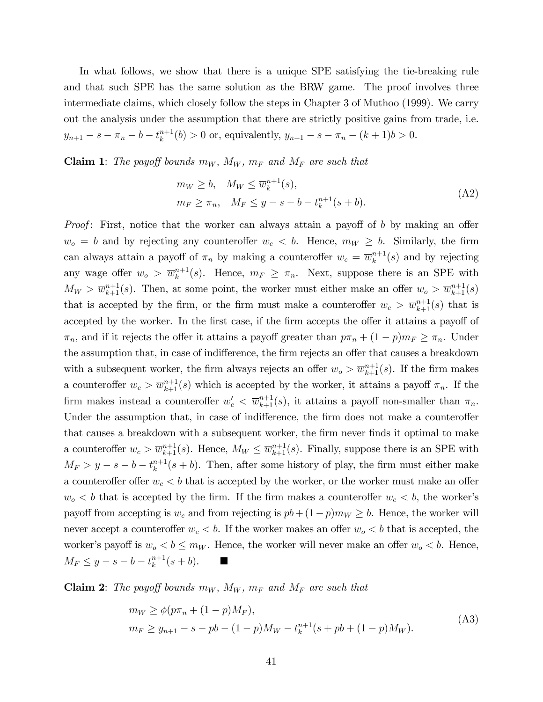In what follows, we show that there is a unique SPE satisfying the tie-breaking rule and that such SPE has the same solution as the BRW game. The proof involves three intermediate claims, which closely follow the steps in Chapter 3 of Muthoo (1999). We carry out the analysis under the assumption that there are strictly positive gains from trade, i.e.  $y_{n+1} - s - \pi_n - b - t_k^{n+1}$  $a_k^{n+1}(b) > 0$  or, equivalently,  $y_{n+1} - s - \pi_n - (k+1)b > 0$ .

**Claim 1:** The payoff bounds  $m_W$ ,  $M_W$ ,  $m_F$  and  $M_F$  are such that

$$
m_W \ge b, \quad M_W \le \overline{w}_k^{n+1}(s),
$$
  
\n
$$
m_F \ge \pi_n, \quad M_F \le y - s - b - t_k^{n+1}(s+b).
$$
\n(A2)

*Proof*: First, notice that the worker can always attain a payoff of b by making an offer  $w_o = b$  and by rejecting any counteroffer  $w_c < b$ . Hence,  $m_W \geq b$ . Similarly, the firm can always attain a payoff of  $\pi_n$  by making a counteroffer  $w_c = \overline{w}_k^{n+1}$  $\binom{n+1}{k}$  and by rejecting any wage offer  $w_o > \overline{w}_k^{n+1}$  $\binom{n+1}{k}(s)$ . Hence,  $m_F \geq \pi_n$ . Next, suppose there is an SPE with  $M_W > \overline{w}_{k+1}^{n+1}(s)$ . Then, at some point, the worker must either make an offer  $w_o > \overline{w}_{k+1}^{n+1}(s)$ that is accepted by the firm, or the firm must make a counteroffer  $w_c > \overline{w}_{k+1}^{n+1}(s)$  that is accepted by the worker. In the first case, if the firm accepts the offer it attains a payoff of  $\pi_n$ , and if it rejects the offer it attains a payoff greater than  $p\pi_n + (1-p)m_F \geq \pi_n$ . Under the assumption that, in case of indifference, the firm rejects an offer that causes a breakdown with a subsequent worker, the firm always rejects an offer  $w_o > \overline{w}_{k+1}^{n+1}(s)$ . If the firm makes a counteroffer  $w_c > \overline{w}_{k+1}^{n+1}(s)$  which is accepted by the worker, it attains a payoff  $\pi_n$ . If the firm makes instead a counteroffer  $w'_c < \overline{w}_{k+1}^{n+1}(s)$ , it attains a payoff non-smaller than  $\pi_n$ . Under the assumption that, in case of indifference, the firm does not make a counteroffer that causes a breakdown with a subsequent worker, the Örm never Önds it optimal to make a counteroffer  $w_c > \overline{w}_{k+1}^{n+1}(s)$ . Hence,  $M_W \leq \overline{w}_{k+1}^{n+1}(s)$ . Finally, suppose there is an SPE with  $M_F > y - s - b - t_k^{n+1}$  $\binom{n+1}{k}(s+b)$ . Then, after some history of play, the firm must either make a counteroffer offer  $w_c < b$  that is accepted by the worker, or the worker must make an offer  $w_0 < b$  that is accepted by the firm. If the firm makes a counteroffer  $w_c < b$ , the worker's payoff from accepting is  $w_c$  and from rejecting is  $pb + (1-p)m_W \ge b$ . Hence, the worker will never accept a counteroffer  $w_c < b$ . If the worker makes an offer  $w_o < b$  that is accepted, the worker's payoff is  $w_o < b \le m_W$ . Hence, the worker will never make an offer  $w_o < b$ . Hence,  $M_F \leq y - s - b - t_k^{n+1}$  $\binom{n+1}{k}(s+b).$ 

**Claim 2:** The payoff bounds  $m_W$ ,  $M_W$ ,  $m_F$  and  $M_F$  are such that

$$
m_W \ge \phi(p\pi_n + (1 - p)M_F),
$$
  
\n
$$
m_F \ge y_{n+1} - s - pb - (1 - p)M_W - t_k^{n+1}(s + pb + (1 - p)M_W).
$$
\n(A3)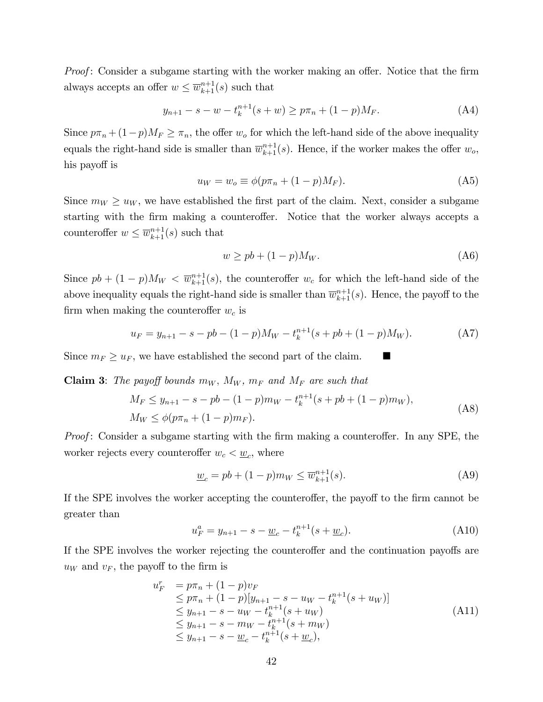*Proof*: Consider a subgame starting with the worker making an offer. Notice that the firm always accepts an offer  $w \leq \overline{w}_{k+1}^{n+1}(s)$  such that

$$
y_{n+1} - s - w - t_k^{n+1}(s+w) \ge p\pi_n + (1-p)M_F.
$$
 (A4)

Since  $p\pi_n + (1-p)M_F \geq \pi_n$ , the offer  $w_o$  for which the left-hand side of the above inequality equals the right-hand side is smaller than  $\overline{w}_{k+1}^{n+1}(s)$ . Hence, if the worker makes the offer  $w_o$ , his payoff is

$$
u_W = w_o \equiv \phi(p\pi_n + (1 - p)M_F). \tag{A5}
$$

Since  $m_W \geq u_W$ , we have established the first part of the claim. Next, consider a subgame starting with the firm making a counteroffer. Notice that the worker always accepts a counteroffer  $w \leq \overline{w}_{k+1}^{n+1}(s)$  such that

$$
w \ge pb + (1 - p)M_W. \tag{A6}
$$

Since  $pb + (1-p)M_W < \overline{w}_{k+1}^{n+1}(s)$ , the counteroffer  $w_c$  for which the left-hand side of the above inequality equals the right-hand side is smaller than  $\overline{w}_{k+1}^{n+1}(s)$ . Hence, the payoff to the firm when making the counteroffer  $w_c$  is

$$
u_F = y_{n+1} - s - pb - (1 - p)M_W - t_k^{n+1}(s + pb + (1 - p)M_W).
$$
 (A7)

Since  $m_F \geq u_F$ , we have established the second part of the claim.

**Claim 3:** The payoff bounds  $m_W$ ,  $M_W$ ,  $m_F$  and  $M_F$  are such that

$$
M_F \le y_{n+1} - s - pb - (1 - p)m_W - t_k^{n+1}(s + pb + (1 - p)m_W),
$$
  
\n
$$
M_W \le \phi(p\pi_n + (1 - p)m_F).
$$
\n(A8)

Proof: Consider a subgame starting with the firm making a counteroffer. In any SPE, the worker rejects every counteroffer  $w_c < \underline{w}_c$ , where

$$
\underline{w}_c = pb + (1 - p)m_W \le \overline{w}_{k+1}^{n+1}(s).
$$
 (A9)

If the SPE involves the worker accepting the counteroffer, the payoff to the firm cannot be greater than

$$
u_F^a = y_{n+1} - s - \underline{w}_c - t_k^{n+1} (s + \underline{w}_c). \tag{A10}
$$

If the SPE involves the worker rejecting the counteroffer and the continuation payoffs are  $u_W$  and  $v_F$ , the payoff to the firm is

$$
u_F^r = p\pi_n + (1 - p)v_F
$$
  
\n
$$
\leq p\pi_n + (1 - p)[y_{n+1} - s - u_W - t_k^{n+1}(s + u_W)]
$$
  
\n
$$
\leq y_{n+1} - s - u_W - t_k^{n+1}(s + u_W)
$$
  
\n
$$
\leq y_{n+1} - s - m_W - t_k^{n+1}(s + m_W)
$$
  
\n
$$
\leq y_{n+1} - s - \underline{w}_c - t_k^{n+1}(s + \underline{w}_c),
$$
\n(A11)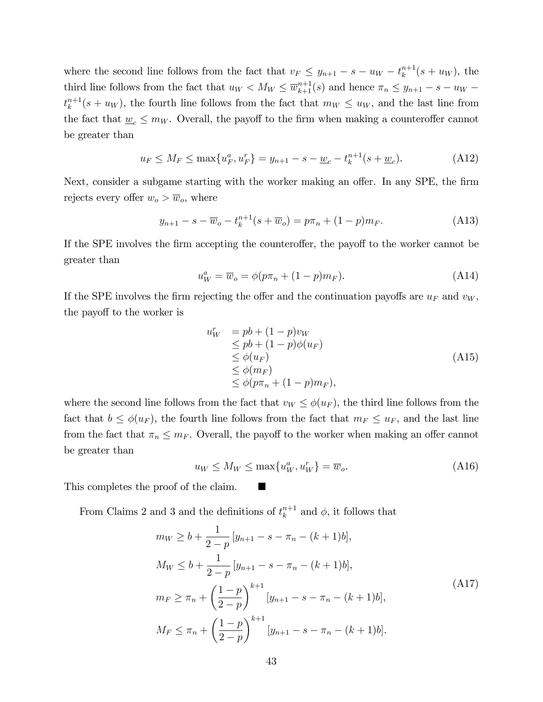where the second line follows from the fact that  $v_F \leq y_{n+1} - s - u_W - t_k^{n+1}$  $\binom{n+1}{k}(s+u_W)$ , the third line follows from the fact that  $u_W < M_W \le \overline{w}_{k+1}^{n+1}(s)$  and hence  $\pi_n \le y_{n+1} - s - u_W$  $t_k^{n+1}$  $\binom{n+1}{k}(s+u_W)$ , the fourth line follows from the fact that  $m_W \leq u_W$ , and the last line from the fact that  $\underline{w}_c \leq m_W$ . Overall, the payoff to the firm when making a counteroffer cannot be greater than

$$
u_F \le M_F \le \max\{u_F^a, u_F^r\} = y_{n+1} - s - \underline{w}_c - t_k^{n+1}(s + \underline{w}_c). \tag{A12}
$$

Next, consider a subgame starting with the worker making an offer. In any SPE, the firm rejects every offer  $w_o > \overline{w}_o$ , where

$$
y_{n+1} - s - \overline{w}_o - t_k^{n+1} (s + \overline{w}_o) = p\pi_n + (1 - p)m_F.
$$
 (A13)

If the SPE involves the firm accepting the counteroffer, the payoff to the worker cannot be greater than

$$
u_W^a = \overline{w}_o = \phi(p\pi_n + (1 - p)m_F). \tag{A14}
$$

If the SPE involves the firm rejecting the offer and the continuation payoffs are  $u_F$  and  $v_W$ , the payoff to the worker is

$$
u_W^r = pb + (1 - p)v_W
$$
  
\n
$$
\leq pb + (1 - p)\phi(u_F)
$$
  
\n
$$
\leq \phi(u_F)
$$
  
\n
$$
\leq \phi(m_F)
$$
  
\n
$$
\leq \phi(p\pi_n + (1 - p)m_F),
$$
\n(A15)

where the second line follows from the fact that  $v_W \leq \phi(u_F)$ , the third line follows from the fact that  $b \leq \phi(u_F)$ , the fourth line follows from the fact that  $m_F \leq u_F$ , and the last line from the fact that  $\pi_n \leq m_F$ . Overall, the payoff to the worker when making an offer cannot be greater than

$$
u_W \le M_W \le \max\{u_W^a, u_W^r\} = \overline{w}_o. \tag{A16}
$$

This completes the proof of the claim.

From Claims 2 and 3 and the definitions of  $t_k^{n+1}$  $k^{n+1}$  and  $\phi$ , it follows that

$$
m_W \ge b + \frac{1}{2-p} [y_{n+1} - s - \pi_n - (k+1)b],
$$
  
\n
$$
M_W \le b + \frac{1}{2-p} [y_{n+1} - s - \pi_n - (k+1)b],
$$
  
\n
$$
m_F \ge \pi_n + \left(\frac{1-p}{2-p}\right)^{k+1} [y_{n+1} - s - \pi_n - (k+1)b],
$$
  
\n
$$
M_F \le \pi_n + \left(\frac{1-p}{2-p}\right)^{k+1} [y_{n+1} - s - \pi_n - (k+1)b].
$$
\n(A17)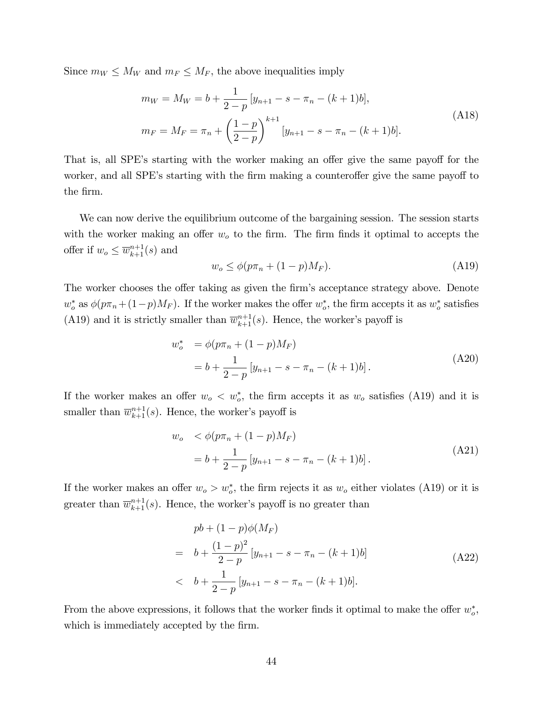Since  $m_W \leq M_W$  and  $m_F \leq M_F$ , the above inequalities imply

$$
m_W = M_W = b + \frac{1}{2-p} [y_{n+1} - s - \pi_n - (k+1)b],
$$
  
\n
$$
m_F = M_F = \pi_n + \left(\frac{1-p}{2-p}\right)^{k+1} [y_{n+1} - s - \pi_n - (k+1)b].
$$
\n(A18)

That is, all SPE's starting with the worker making an offer give the same payoff for the worker, and all SPE's starting with the firm making a counteroffer give the same payoff to the firm.

We can now derive the equilibrium outcome of the bargaining session. The session starts with the worker making an offer  $w<sub>o</sub>$  to the firm. The firm finds it optimal to accepts the offer if  $w_o \leq \overline{w}_{k+1}^{n+1}(s)$  and

$$
w_o \le \phi(p\pi_n + (1 - p)M_F). \tag{A19}
$$

The worker chooses the offer taking as given the firm's acceptance strategy above. Denote  $w_o^*$  as  $\phi(p\pi_n + (1-p)M_F)$ . If the worker makes the offer  $w_o^*$ , the firm accepts it as  $w_o^*$  satisfies (A19) and it is strictly smaller than  $\overline{w}_{k+1}^{n+1}(s)$ . Hence, the worker's payoff is

$$
w_o^* = \phi(p\pi_n + (1 - p)M_F)
$$
  
=  $b + \frac{1}{2 - p} [y_{n+1} - s - \pi_n - (k+1)b].$  (A20)

If the worker makes an offer  $w_0 < w_0^*$ , the firm accepts it as  $w_0$  satisfies (A19) and it is smaller than  $\overline{w}_{k+1}^{n+1}(s)$ . Hence, the worker's payoff is

$$
w_o \quad \langle \phi(p\pi_n + (1-p)M_F) \rangle
$$
  
=  $b + \frac{1}{2-p} [y_{n+1} - s - \pi_n - (k+1)b].$  (A21)

If the worker makes an offer  $w_o > w_o^*$ , the firm rejects it as  $w_o$  either violates (A19) or it is greater than  $\overline{w}_{k+1}^{n+1}(s)$ . Hence, the worker's payoff is no greater than

$$
pb + (1-p)\phi(M_F)
$$
  
=  $b + \frac{(1-p)^2}{2-p} [y_{n+1} - s - \pi_n - (k+1)b]$   
 $b + \frac{1}{2-p} [y_{n+1} - s - \pi_n - (k+1)b].$  (A22)

From the above expressions, it follows that the worker finds it optimal to make the offer  $w_o^*$ , which is immediately accepted by the firm.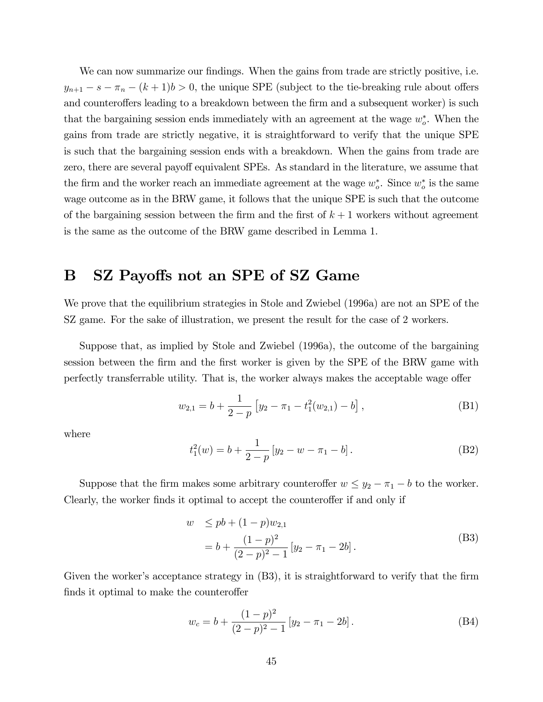We can now summarize our findings. When the gains from trade are strictly positive, i.e.  $y_{n+1} - s - \pi_n - (k+1)b > 0$ , the unique SPE (subject to the tie-breaking rule about offers and counteroffers leading to a breakdown between the firm and a subsequent worker) is such that the bargaining session ends immediately with an agreement at the wage  $w_o^*$ . When the gains from trade are strictly negative, it is straightforward to verify that the unique SPE is such that the bargaining session ends with a breakdown. When the gains from trade are zero, there are several payoff equivalent SPEs. As standard in the literature, we assume that the firm and the worker reach an immediate agreement at the wage  $w_o^*$ . Since  $w_o^*$  is the same wage outcome as in the BRW game, it follows that the unique SPE is such that the outcome of the bargaining session between the firm and the first of  $k + 1$  workers without agreement is the same as the outcome of the BRW game described in Lemma 1.

## B SZ Payoffs not an SPE of SZ Game

We prove that the equilibrium strategies in Stole and Zwiebel (1996a) are not an SPE of the SZ game. For the sake of illustration, we present the result for the case of 2 workers.

Suppose that, as implied by Stole and Zwiebel (1996a), the outcome of the bargaining session between the firm and the first worker is given by the SPE of the BRW game with perfectly transferrable utility. That is, the worker always makes the acceptable wage offer

$$
w_{2,1} = b + \frac{1}{2-p} \left[ y_2 - \pi_1 - t_1^2(w_{2,1}) - b \right],
$$
 (B1)

where

$$
t_1^2(w) = b + \frac{1}{2-p} \left[ y_2 - w - \pi_1 - b \right]. \tag{B2}
$$

Suppose that the firm makes some arbitrary counteroffer  $w \leq y_2 - \pi_1 - b$  to the worker. Clearly, the worker finds it optimal to accept the counteroffer if and only if

$$
w \leq pb + (1 - p)w_{2,1}
$$
  
=  $b + \frac{(1 - p)^2}{(2 - p)^2 - 1} [y_2 - \pi_1 - 2b].$  (B3)

Given the worker's acceptance strategy in  $(B3)$ , it is straightforward to verify that the firm finds it optimal to make the counteroffer

$$
w_c = b + \frac{(1-p)^2}{(2-p)^2 - 1} [y_2 - \pi_1 - 2b].
$$
 (B4)